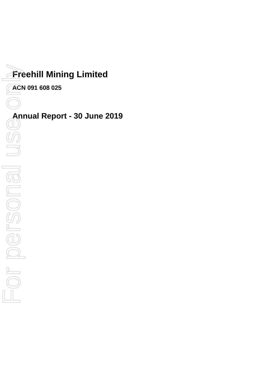# **Freehill Mining Limited**

**ACN 091 608 025**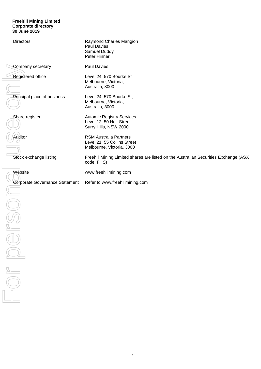#### **Freehill Mining Limited Corporate directory 30 June 2019**

| <b>Directors</b>               | Raymond Charles Mangion<br>Paul Davies<br>Samuel Duddy<br>Peter Hinner                             |
|--------------------------------|----------------------------------------------------------------------------------------------------|
| Company secretary              | Paul Davies                                                                                        |
| Registered office              | Level 24, 570 Bourke St<br>Melbourne, Victoria,<br>Australia, 3000                                 |
| Principal place of business    | Level 24, 570 Bourke St,<br>Melbourne, Victoria,<br>Australia, 3000                                |
| Share register                 | <b>Automic Registry Services</b><br>Level 12, 50 Holt Street<br>Surry Hills, NSW 2000              |
| Auditor                        | <b>RSM Australia Partners</b><br>Level 21, 55 Collins Street<br>Melbourne, Victoria, 3000          |
| Stock exchange listing         | Freehill Mining Limited shares are listed on the Australian Securities Exchange (ASX<br>code: FHS) |
| Website                        | www.freehillmining.com                                                                             |
|                                |                                                                                                    |
| Corporate Governance Statement | Refer to www.freehillmining.com                                                                    |
|                                |                                                                                                    |
|                                |                                                                                                    |
|                                |                                                                                                    |
|                                |                                                                                                    |
| $\frac{1}{\sqrt{2}}$           |                                                                                                    |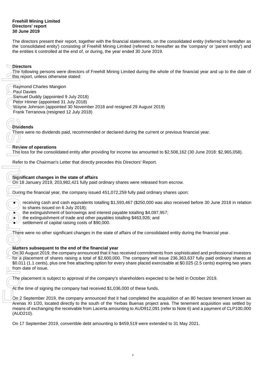The directors present their report, together with the financial statements, on the consolidated entity (referred to hereafter as the 'consolidated entity') consisting of Freehill Mining Limited (referred to hereafter as the 'company' or 'parent entity') and the entities it controlled at the end of, or during, the year ended 30 June 2019.

# **Directors**

The following persons were directors of Freehill Mining Limited during the whole of the financial year and up to the date of this report, unless otherwise stated:

- Raymond Charles Mangion
- Paul Davies
- Samuel Duddy (appointed 9 July 2018)
- Peter Hinner (appointed 31 July 2018)
- Wayne Johnson (appointed 30 November 2018 and resigned 29 August 2019)
- Frank Terranova (resigned 12 July 2018)

# **Dividends**

There were no dividends paid, recommended or declared during the current or previous financial year.

# **Review of operations**

The loss for the consolidated entity after providing for income tax amounted to \$2,508,162 (30 June 2018: \$2,965,058).

Refer to the Chairman's Letter that directly precedes this Directors' Report.

# **Significant changes in the state of affairs**

On 18 January 2019, 203,982,421 fully paid ordinary shares were released from escrow.

During the financial year, the company issued 451,072,259 fully paid ordinary shares upon:

receiving cash and cash equivalents totalling \$1,593,467 (\$250,000 was also received before 30 June 2018 in relation to shares issued on 6 July 2018);

- the extinguishment of borrowings and interest payable totalling \$4,097,957;
- the extinguishment of trade and other payables totalling \$463,926; and
- settlement of capital raising costs of \$90,000.

There were no other significant changes in the state of affairs of the consolidated entity during the financial year.

# **Matters subsequent to the end of the financial year**

On 30 August 2019, the company announced that it has received commitments from sophisticated and professional investors for a placement of shares raising a total of \$2,600,000. The company will issue 236,363,637 fully paid ordinary shares at \$0.011 (1.1 cents), plus one free attaching option for every share placed exercisable at \$0.025 (2.5 cents) expiring two years from date of issue. One of the financial year, the company issued of Finebill Mining Limited during the whole of the financial<br>
Englishoful wideo one threshone states:<br>
League David<br>
Cervice depressions and the state of the financial sharp

The placement is subject to approval of the company's shareholders expected to be held in October 2019.

At the time of signing the company had received \$1,036,000 of these funds.

On 2 September 2019, the company announced that it had completed the acquisition of an 80 hectare tenement known as Arenas XI 1/20, located directly to the south of the Yerbas Buenas project area. The tenement acquisition was settled by means of exchanging the receivable from Lacerta amounting to AUD912,091 (refer to Note 6) and a payment of CLP100,000 (AUD210).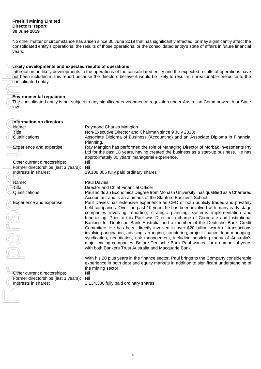No other matter or circumstance has arisen since 30 June 2019 that has significantly affected, or may significantly affect the consolidated entity's operations, the results of those operations, or the consolidated entity's state of affairs in future financial years.

# **Likely developments and expected results of operations**

## **Environmental regulation**

| Likely developments and expected results of operations                                                                      |                                                                                                                              |  |  |  |  |  |  |
|-----------------------------------------------------------------------------------------------------------------------------|------------------------------------------------------------------------------------------------------------------------------|--|--|--|--|--|--|
| Information on likely developments in the operations of the consolidated entity and the expected results of operations have |                                                                                                                              |  |  |  |  |  |  |
|                                                                                                                             | not been included in this report because the directors believe it would be likely to result in unreasonable prejudice to the |  |  |  |  |  |  |
| consolidated entity.                                                                                                        |                                                                                                                              |  |  |  |  |  |  |
|                                                                                                                             |                                                                                                                              |  |  |  |  |  |  |
| <b>Environmental regulation</b>                                                                                             |                                                                                                                              |  |  |  |  |  |  |
|                                                                                                                             | The consolidated entity is not subject to any significant environmental regulation under Australian Commonwealth or State    |  |  |  |  |  |  |
| laẃ.                                                                                                                        |                                                                                                                              |  |  |  |  |  |  |
|                                                                                                                             |                                                                                                                              |  |  |  |  |  |  |
|                                                                                                                             |                                                                                                                              |  |  |  |  |  |  |
| Information on directors                                                                                                    |                                                                                                                              |  |  |  |  |  |  |
| Name:                                                                                                                       | Raymond Charles Mangion                                                                                                      |  |  |  |  |  |  |
| Title:                                                                                                                      | Non-Executive Director and Chairman since 9 July 2018)                                                                       |  |  |  |  |  |  |
| Qualifications:                                                                                                             | Associate Diploma of Business (Accounting) and an Associate Diploma in Financial                                             |  |  |  |  |  |  |
|                                                                                                                             | Planning.                                                                                                                    |  |  |  |  |  |  |
| <b>Experience and expertise:</b>                                                                                            | Ray Mangion has performed the role of Managing Director of Morbak Investments Pty                                            |  |  |  |  |  |  |
|                                                                                                                             | Ltd for the past 18 years, having created the business as a start-up business. He has                                        |  |  |  |  |  |  |
|                                                                                                                             | approximately 30 years' managerial experience.                                                                               |  |  |  |  |  |  |
| Other current directorships:                                                                                                | Nil                                                                                                                          |  |  |  |  |  |  |
| Former directorships (last 3 years):                                                                                        | Nil                                                                                                                          |  |  |  |  |  |  |
| interests in shares:                                                                                                        | 19,108,305 fully paid ordinary shares                                                                                        |  |  |  |  |  |  |
|                                                                                                                             |                                                                                                                              |  |  |  |  |  |  |
| Name:<br>Title:                                                                                                             | <b>Paul Davies</b>                                                                                                           |  |  |  |  |  |  |
| Qualifications:                                                                                                             | Director and Chief Financial Officer<br>Paul holds an Economics Degree from Monash University, has qualified as a Chartered  |  |  |  |  |  |  |
|                                                                                                                             | Accountant and is an alumnus of the Stanford Business School.                                                                |  |  |  |  |  |  |
| Experience and expertise:                                                                                                   | Paul Davies has extensive experience as CFO of both publicly traded and privately                                            |  |  |  |  |  |  |
|                                                                                                                             | held companies. Over the past 10 years he has been involved with many early stage                                            |  |  |  |  |  |  |
|                                                                                                                             | companies involving reporting, strategic planning, systems implementation and                                                |  |  |  |  |  |  |
|                                                                                                                             | fundraising. Prior to this Paul was Director in charge of Corporate and Institutional                                        |  |  |  |  |  |  |
|                                                                                                                             | Banking for Deutsche Bank Australia and a member of the Deutsche Bank Credit                                                 |  |  |  |  |  |  |
|                                                                                                                             | Committee. He has been directly involved in over \$20 billion worth of transactions                                          |  |  |  |  |  |  |
|                                                                                                                             | involving origination, advising, arranging, structuring, project finance, lead managing,                                     |  |  |  |  |  |  |
|                                                                                                                             | syndication, negotiation, risk management, including servicing many of Australia's                                           |  |  |  |  |  |  |
|                                                                                                                             | major mining companies. Before Deutsche Bank Paul worked for a number of years                                               |  |  |  |  |  |  |
|                                                                                                                             | with both Bankers Trust Australia and Macquarie Bank.                                                                        |  |  |  |  |  |  |
|                                                                                                                             |                                                                                                                              |  |  |  |  |  |  |
|                                                                                                                             | With his 20 plus years in the finance sector, Paul brings to the Company considerable                                        |  |  |  |  |  |  |
|                                                                                                                             | experience in both debt and equity markets in addition to significant understanding of                                       |  |  |  |  |  |  |
|                                                                                                                             | the mining sector.                                                                                                           |  |  |  |  |  |  |
| Other current directorships:                                                                                                | Nil                                                                                                                          |  |  |  |  |  |  |
| Former directorships (last 3 years):                                                                                        | Nil                                                                                                                          |  |  |  |  |  |  |
| Interests in shares:                                                                                                        | 2,134,330 fully paid ordinary shares                                                                                         |  |  |  |  |  |  |
|                                                                                                                             |                                                                                                                              |  |  |  |  |  |  |
|                                                                                                                             |                                                                                                                              |  |  |  |  |  |  |
|                                                                                                                             |                                                                                                                              |  |  |  |  |  |  |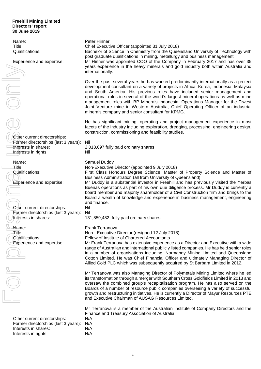Name: Peter Hinner Title: Chief Executive Officer (appointed 31 July 2018) Qualifications: Bachelor of Science in Chemistry from the Queensland University of Technology with post graduate qualifications in mining, metallurgy and business management Experience and expertise: Mr Hinner was appointed COO of the Company in February 2017 and has over 35 years experience in the heavy minerals and gold industry both within Australia and internationally. Over the past several years he has worked predominantly internationally as a project development consultant on a variety of projects in Africa, Korea, Indonesia, Malaysia and South America. His previous roles have included senior management and operational roles in several of the world's largest mineral operations as well as mine management roles with BP Minerals Indonesia, Operations Manager for the Tiwest Joint Venture mine in Western Australia, Chief Operating Officer of an industrial minerals company and senior consultant for KPMG. He has significant mining, operating and project management experience in most facets of the industry including exploration, dredging, processing, engineering design, construction, commissioning and feasibility studies. Other current directorships: Former directorships (last 3 years): Nil Interests in shares: 2,018,697 fully paid ordinary shares Interests in rights: Nil Name: Samuel Duddy Title: Non-Executive Director (appointed 9 July 2018) Qualifications: First Class Honours Degree Science, Master of Property Science and Master of Business Administration (all from University of Queensland) Experience and expertise: Mr Duddy is a substantial investor in Freehill and has previously visited the Yerbas Buenas operations as part of his own due diligence process. Mr Duddy is currently a board member and majority shareholder of a Civil Construction firm and brings to the Board a wealth of knowledge and experience in business management, engineering and finance. Other current directorships: Nil Former directorships (last 3 years): Nil Interests in shares: 131,859,482 fully paid ordinary shares Name: Frank Terranova Title: Non - Executive Director (resigned 12 July 2018) Qualifications: Fellow of Institute of Chartered Accountants Experience and expertise: Mr Frank Terranova has extensive experience as a Director and Executive with a wide range of Australian and international publicly listed companies. He has held senior roles in a number of organisations including, Normandy Mining Limited and Queensland Cotton Limited. He was Chief Financial Officer and ultimately Managing Director of Allied Gold PLC which was subsequently acquired by St Barbara Limited in 2012. Mr Terranova was also Managing Director of Polymetals Mining Limited where he led its transformation through a merger with Southern Cross Goldfields Limited in 2013 and oversaw the combined group's recapitalisation program. He has also served on the Boards of a number of resource public companies overseeing a variety of successful growth and restructuring initiatives. He is currently a Director of Mayur Resources PTE and Executive Chairman of AUSAG Resources Limited. Mr Terranova is a member of the Australian Institute of Company Directors and the Finance and Treasury Association of Australia. Other current directorships: N/A Former directorships (last 3 years): N/A Interests in shares: N/A Vear interests in shares:<br>
Conter current directorships:<br>
The Conter current directorships:<br>
The form of the content of the face<br>
Conter current directorships (last 3 years): Nil<br>
Interests in rights:<br>
Name:<br>
The Couldific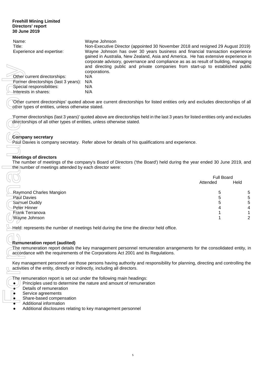| Name:                                | Wayne Johnson                                                                                                                                                                                                                                                                                                                                |
|--------------------------------------|----------------------------------------------------------------------------------------------------------------------------------------------------------------------------------------------------------------------------------------------------------------------------------------------------------------------------------------------|
| Title:                               | Non-Executive Director (appointed 30 November 2018 and resigned 29 August 2019)                                                                                                                                                                                                                                                              |
| Experience and expertise:            | Wayne Johnson has over 30 years business and financial transaction experience<br>gained in Australia, New Zealand, Asia and America. He has extensive experience in<br>corporate advisory, governance and compliance as as as result of building, managing<br>and directing public and private companies from start-up to established public |
|                                      | corporations.                                                                                                                                                                                                                                                                                                                                |
| Other current directorships:         | N/A                                                                                                                                                                                                                                                                                                                                          |
| Former directorships (last 3 years): | N/A                                                                                                                                                                                                                                                                                                                                          |
| Special responsibilities:            | N/A                                                                                                                                                                                                                                                                                                                                          |
| -Interests in shares:                | N/A                                                                                                                                                                                                                                                                                                                                          |
|                                      |                                                                                                                                                                                                                                                                                                                                              |

# **Company secretary**

# **Meetings of directors**

| Other current directorships:<br>Former directorships (last 3 years):<br>Special responsibilities:<br>Interests in shares:                                                                                       | corporations.<br>N/A<br>N/A<br>N/A<br>N/A |  | and directing public and private companies from start-up to established public |                           |
|-----------------------------------------------------------------------------------------------------------------------------------------------------------------------------------------------------------------|-------------------------------------------|--|--------------------------------------------------------------------------------|---------------------------|
| 'Other current directorships' quoted above are current directorships for listed entities only and excludes directorships of all<br>other types of entities, unless otherwise stated.                            |                                           |  |                                                                                |                           |
| 'Former directorships (last 3 years)' quoted above are directorships held in the last 3 years for listed entities only and excludes<br>directorships of all other types of entities, unless otherwise stated.   |                                           |  |                                                                                |                           |
| <b>Company secretary</b><br>Paul Davies is company secretary. Refer above for details of his qualifications and experience.                                                                                     |                                           |  |                                                                                |                           |
|                                                                                                                                                                                                                 |                                           |  |                                                                                |                           |
| <b>Meetings of directors</b><br>The number of meetings of the company's Board of Directors ('the Board') held during the year ended 30 June 2019, and<br>the humber of meetings attended by each director were: |                                           |  |                                                                                |                           |
|                                                                                                                                                                                                                 |                                           |  | Attended                                                                       | <b>Full Board</b><br>Held |
| Raymond Charles Mangion                                                                                                                                                                                         |                                           |  | 5                                                                              | 5                         |
| Paul Davies                                                                                                                                                                                                     |                                           |  | 5                                                                              | $\sqrt{5}$                |
| Samuel Duddy                                                                                                                                                                                                    |                                           |  | 5                                                                              | 5                         |
| Peter Hinner<br>Frank Terranova                                                                                                                                                                                 |                                           |  |                                                                                | 4<br>1                    |
| Wayne Johnson                                                                                                                                                                                                   |                                           |  |                                                                                | $\overline{2}$            |
| Held: represents the number of meetings held during the time the director held office.                                                                                                                          |                                           |  |                                                                                |                           |
|                                                                                                                                                                                                                 |                                           |  |                                                                                |                           |
| Remuneration report (audited)                                                                                                                                                                                   |                                           |  |                                                                                |                           |
| The remuneration report details the key management personnel remuneration arrangements for the consolidated entity, in<br>accordance with the requirements of the Corporations Act 2001 and its Regulations.    |                                           |  |                                                                                |                           |
| Key management personnel are those persons having authority and responsibility for planning, directing and controlling the<br>activities of the entity, directly or indirectly, including all directors.        |                                           |  |                                                                                |                           |
| The remuneration report is set out under the following main headings:<br>Principles used to determine the nature and amount of remuneration<br>Details of remuneration                                          |                                           |  |                                                                                |                           |
| Service agreements                                                                                                                                                                                              |                                           |  |                                                                                |                           |
| Share-based compensation                                                                                                                                                                                        |                                           |  |                                                                                |                           |
| Additional information<br>Additional disclosures relating to key management personnel                                                                                                                           |                                           |  |                                                                                |                           |
|                                                                                                                                                                                                                 |                                           |  |                                                                                |                           |

# **Remuneration report (audited)**

- $\bullet$  ) Principles used to determine the nature and amount of remuneration
- Details of remuneration
- Service agreements
- Share-based compensation
- Additional information
- Additional disclosures relating to key management personnel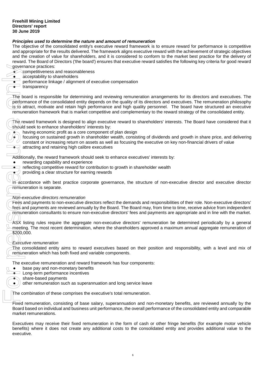# *Principles used to determine the nature and amount of remuneration*

The objective of the consolidated entity's executive reward framework is to ensure reward for performance is competitive and appropriate for the results delivered. The framework aligns executive reward with the achievement of strategic objectives and the creation of value for shareholders, and it is considered to conform to the market best practice for the delivery of reward. The Board of Directors ('the board') ensures that executive reward satisfies the following key criteria for good reward governance practices:

- competitiveness and reasonableness
- acceptability to shareholders
- $\bullet$  performance linkage / alignment of executive compensation
- $\bullet$  transparency

The board is responsible for determining and reviewing remuneration arrangements for its directors and executives. The performance of the consolidated entity depends on the quality of its directors and executives. The remuneration philosophy is to attract, motivate and retain high performance and high quality personnel. The board have structured an executive remuneration framework that is market competitive and complementary to the reward strategy of the consolidated entity. governance compacted transport of the board of transport in the board of the board of the reward of the reward of the constraints of the same of the same of the constraints of the constraints of the constraints of the cons

The reward framework is designed to align executive reward to shareholders' interests. The Board have considered that it should seek to enhance shareholders' interests by:

having economic profit as a core component of plan design

focusing on sustained growth in shareholder wealth, consisting of dividends and growth in share price, and delivering constant or increasing return on assets as well as focusing the executive on key non-financial drivers of value

 $\rightarrow$  attracting and retaining high calibre executives

Additionally, the reward framework should seek to enhance executives' interests by:

- rewarding capability and experience
- **•** reflecting competitive reward for contribution to growth in shareholder wealth
- **Providing a clear structure for earning rewards**

In accordance with best practice corporate governance, the structure of non-executive director and executive director remuneration is separate.

#### *Non-executive directors remuneration*

Fees and payments to non-executive directors reflect the demands and responsibilities of their role. Non-executive directors' fees and payments are reviewed annually by the Board. The Board may, from time to time, receive advice from independent remuneration consultants to ensure non-executive directors' fees and payments are appropriate and in line with the market.

ASX listing rules require the aggregate non-executive directors' remuneration be determined periodically by a general meeting. The most recent determination, where the shareholders approved a maximum annual aggregate remuneration of \$200,000.

## *Executive remuneration*

The consolidated entity aims to reward executives based on their position and responsibility, with a level and mix of remuneration which has both fixed and variable components.

The executive remuneration and reward framework has four components:

- base pay and non-monetary benefits
- Long-term performance incentives
- $\bullet$  share-based payments
	- other remuneration such as superannuation and long service leave

The combination of these comprises the executive's total remuneration.

Fixed remuneration, consisting of base salary, superannuation and non-monetary benefits, are reviewed annually by the Board based on individual and business unit performance, the overall performance of the consolidated entity and comparable market remunerations.

Executives may receive their fixed remuneration in the form of cash or other fringe benefits (for example motor vehicle benefits) where it does not create any additional costs to the consolidated entity and provides additional value to the executive.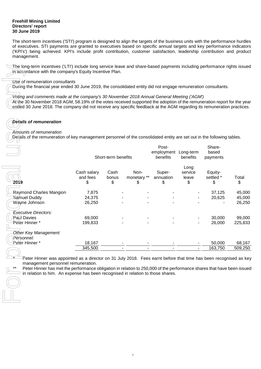The short-term incentives ('STI') program is designed to align the targets of the business units with the performance hurdles of executives. STI payments are granted to executives based on specific annual targets and key performance indicators ('KPI's') being achieved. KPI's include profit contribution, customer satisfaction, leadership contribution and product management.

The long-term incentives ('LTI') include long service leave and share-based payments including performance rights issued in accordance with the company's Equity Incentive Plan.

### *Use of remuneration consultants*

During the financial year ended 30 June 2019, the consolidated entity did not engage remuneration consultants.

*Voting and comments made at the company's 30 November 2018 Annual General Meeting ('AGM')* 

At the 30 November 2018 AGM, 58.19% of the votes received supported the adoption of the remuneration report for the year ended 30 June 2018. The company did not receive any specific feedback at the AGM regarding its remuneration practices.

# *Details of remuneration*

## *Amounts of remuneration*

Details of the remuneration of key management personnel of the consolidated entity are set out in the following tables.

|                                    |                               | Short-term benefits |                           | Post-<br>employment<br>benefits | Long-term<br>benefits          | Share-<br>based<br>payments |             |
|------------------------------------|-------------------------------|---------------------|---------------------------|---------------------------------|--------------------------------|-----------------------------|-------------|
| 2019                               | Cash salary<br>and fees<br>\$ | Cash<br>bonus<br>\$ | Non-<br>monetary **<br>\$ | Super-<br>annuation<br>\$       | Long<br>service<br>leave<br>\$ | Equity-<br>settled *<br>\$  | Total<br>\$ |
| Raymond Charles Mangion            | 7,875                         |                     |                           |                                 |                                | 37,125                      | 45,000      |
| Samuel Duddy                       | 24,375                        |                     |                           |                                 |                                | 20,625                      | 45,000      |
| Wayne Johnson                      | 26,250                        |                     |                           |                                 |                                |                             | 26,250      |
| <b>Executive Directors:</b>        |                               |                     |                           |                                 |                                |                             |             |
| Paul Davies                        | 69,000                        |                     |                           |                                 |                                | 30,000                      | 99,000      |
| Peter Hinner*                      | 199,833                       |                     |                           |                                 |                                | 26,000                      | 225,833     |
| Other Key Management<br>Personnel: |                               |                     |                           |                                 |                                |                             |             |
| Peter Hinner*                      | 18,167                        |                     |                           |                                 |                                | 50,000                      | 68,167      |
|                                    | 345,500                       |                     |                           |                                 |                                | 163,750                     | 509,250     |
|                                    |                               |                     |                           |                                 |                                |                             |             |

\* Teter Hinner was appointed as a director on 31 July 2018. Fees earnt before that time has been recognised as key management personnel remuneration.

Peter Hinner has met the performance obligation in relation to 250,000 of the performance shares that have been issued Finanagement personner remuneration.<br>
Peter Hinner has met the performance obligation in relation to 250,000 of the perf<br>
in relation to him. An expense has been recognised in relation to those shares.<br>
<br>
<br>
<br>
<br>
<br>
<br>
<br>
<br>
<br>
<br>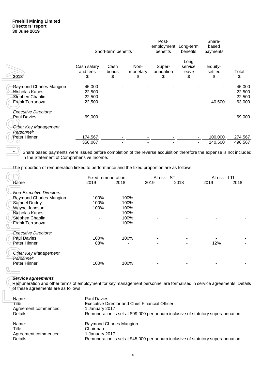|                             |                               | Short-term benefits |                        | Post-<br>employment<br>benefits | Long-term<br>benefits          | Share-<br>based<br>payments |             |
|-----------------------------|-------------------------------|---------------------|------------------------|---------------------------------|--------------------------------|-----------------------------|-------------|
| 2018                        | Cash salary<br>and fees<br>\$ | Cash<br>bonus<br>\$ | Non-<br>monetary<br>\$ | Super-<br>annuation<br>\$       | Long<br>service<br>leave<br>\$ | Equity-<br>settled<br>\$    | Total<br>\$ |
| Raymond Charles Mangion     | 45,000                        |                     |                        |                                 |                                |                             | 45,000      |
| Nicholas Kapes              | 22,500                        |                     |                        |                                 |                                |                             | 22,500      |
| Stephen Chaplin             | 22,500                        |                     |                        |                                 |                                |                             | 22,500      |
| Frank Terranova             | 22,500                        |                     | ۰                      |                                 |                                | 40,500                      | 63,000      |
| <b>Executive Directors:</b> |                               |                     |                        |                                 |                                |                             |             |
| Paul Davies                 | 69,000                        |                     |                        |                                 |                                |                             | 69,000      |
| Other Key Management        |                               |                     |                        |                                 |                                |                             |             |
| Personnel:                  |                               |                     |                        |                                 |                                |                             |             |
| Peter Hinner                | 174,567                       |                     |                        |                                 |                                | 100,000                     | 274,567     |
|                             | 356,067                       |                     |                        |                                 |                                | 140,500                     | 496,567     |

| 2018                                                                                                                                       | Cash salary<br>and fees<br>\$ | Cash<br>bonus<br>\$     | Non-<br>monetary<br>\$ | Super-<br>annuation<br>\$                             | service<br>leave<br>\$ | Equity-<br>settled<br>\$                                                         | Total<br>\$ |
|--------------------------------------------------------------------------------------------------------------------------------------------|-------------------------------|-------------------------|------------------------|-------------------------------------------------------|------------------------|----------------------------------------------------------------------------------|-------------|
| Raymond Charles Mangion                                                                                                                    | 45,000                        |                         |                        |                                                       |                        |                                                                                  | 45,00       |
| Nicholas Kapes                                                                                                                             | 22,500                        |                         |                        |                                                       |                        |                                                                                  | 22,50       |
| Stephen Chaplin                                                                                                                            | 22,500                        |                         |                        |                                                       |                        |                                                                                  | 22,50       |
| Frank Terranova                                                                                                                            | 22,500                        |                         |                        |                                                       |                        | 40,500                                                                           | 63,00       |
|                                                                                                                                            |                               |                         |                        |                                                       |                        |                                                                                  |             |
| <b>Executive Directors:</b>                                                                                                                |                               |                         |                        |                                                       |                        |                                                                                  |             |
| Paul Davies                                                                                                                                | 69,000                        |                         |                        |                                                       |                        |                                                                                  | 69,00       |
| Other Key Management                                                                                                                       |                               |                         |                        |                                                       |                        |                                                                                  |             |
| Personnel:                                                                                                                                 |                               |                         |                        |                                                       |                        |                                                                                  |             |
| Peter Hinner                                                                                                                               | 174,567                       |                         |                        |                                                       |                        | 100,000                                                                          | 274,56      |
|                                                                                                                                            | 356,067                       |                         |                        |                                                       |                        | 140,500                                                                          | 496,56      |
| in the Statement of Comprehensive Income.<br>The proportion of remuneration linked to performance and the fixed proportion are as follows: |                               |                         |                        |                                                       |                        |                                                                                  |             |
|                                                                                                                                            |                               | Fixed remuneration      |                        | At risk - STI                                         |                        | At risk - LTI                                                                    |             |
| Name                                                                                                                                       | 2019                          | 2018                    | 2019                   |                                                       | 2018                   | 2019                                                                             | 2018        |
| <b>Non-Executive Directors:</b>                                                                                                            |                               |                         |                        |                                                       |                        |                                                                                  |             |
| Raymond Charles Mangion                                                                                                                    | 100%                          |                         | 100%                   |                                                       |                        |                                                                                  |             |
| Samuel Duddy                                                                                                                               | 100%                          |                         | 100%                   |                                                       |                        |                                                                                  |             |
| Wayne Johnson                                                                                                                              | 100%                          |                         | 100%                   |                                                       |                        |                                                                                  |             |
| Nicholas Kapes                                                                                                                             |                               |                         | 100%                   |                                                       |                        |                                                                                  |             |
| <b>Stephen Chaplin</b>                                                                                                                     |                               |                         | 100%                   |                                                       |                        |                                                                                  |             |
| Frank Terranova                                                                                                                            |                               |                         | 100%                   |                                                       |                        |                                                                                  |             |
|                                                                                                                                            |                               |                         |                        |                                                       |                        |                                                                                  |             |
| <b>Executive Directors:</b>                                                                                                                |                               |                         |                        |                                                       |                        |                                                                                  |             |
| Paul Davies                                                                                                                                | 100%                          |                         | 100%                   |                                                       |                        |                                                                                  |             |
| Peter Hinner                                                                                                                               | 88%                           |                         |                        |                                                       |                        | 12%                                                                              |             |
| Other Key Management<br>Personnel:                                                                                                         |                               |                         |                        |                                                       |                        |                                                                                  |             |
| Peter Hinner                                                                                                                               | 100%                          |                         | 100%                   |                                                       |                        |                                                                                  |             |
|                                                                                                                                            |                               |                         |                        |                                                       |                        |                                                                                  |             |
| <b>Service agreements</b>                                                                                                                  |                               |                         |                        |                                                       |                        |                                                                                  |             |
| Remuneration and other terms of employment for key management personnel are formalised in service agreements. Deta                         |                               |                         |                        |                                                       |                        |                                                                                  |             |
| of these agreements are as follows:                                                                                                        |                               |                         |                        |                                                       |                        |                                                                                  |             |
| Name:                                                                                                                                      | <b>Paul Davies</b>            |                         |                        |                                                       |                        |                                                                                  |             |
| Title:                                                                                                                                     |                               |                         |                        | <b>Executive Director and Chief Financial Officer</b> |                        |                                                                                  |             |
| Agreement commenced:                                                                                                                       | 1 January 2017                |                         |                        |                                                       |                        |                                                                                  |             |
| Details:                                                                                                                                   |                               |                         |                        |                                                       |                        | Remuneration is set at \$99,000 per annum inclusive of statutory superannuation. |             |
|                                                                                                                                            |                               |                         |                        |                                                       |                        |                                                                                  |             |
| Name:                                                                                                                                      |                               | Raymond Charles Mangion |                        |                                                       |                        |                                                                                  |             |
| Title:                                                                                                                                     | Chairman<br>1 January 2017    |                         |                        |                                                       |                        |                                                                                  |             |
| Agreement commenced:<br>Details:                                                                                                           |                               |                         |                        |                                                       |                        | Remuneration is set at \$45,000 per annum inclusive of statutory superannuation. |             |
|                                                                                                                                            |                               |                         |                        |                                                       |                        |                                                                                  |             |

# *Service agreements*

| Name:<br>Title:<br>Agreement commenced:<br>Details: | <b>Paul Davies</b><br><b>Executive Director and Chief Financial Officer</b><br>1 January 2017<br>Remuneration is set at \$99,000 per annum inclusive of statutory superannuation. |
|-----------------------------------------------------|-----------------------------------------------------------------------------------------------------------------------------------------------------------------------------------|
| Name:                                               | Raymond Charles Mangion                                                                                                                                                           |
| Title:                                              | Chairman                                                                                                                                                                          |
| Agreement commenced:                                | 1 January 2017                                                                                                                                                                    |
| Details:                                            | Remuneration is set at \$45,000 per annum inclusive of statutory superannuation.                                                                                                  |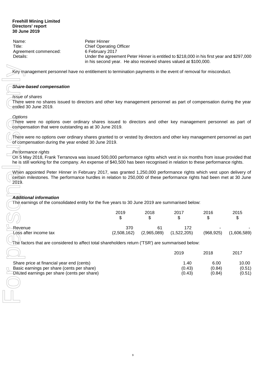Name: Peter Hinner Title: Chief Operating Officer Agreement commenced: 6 February 2017

Details: Under the agreement Peter Hinner is entitled to \$218,000 in his first year and \$297,000 in his second year. He also received shares valued at \$100,000.

#### *Share-based compensation*

#### *Issue of shares*

#### *Options*

#### *Performance rights*

#### *Additional information*

| Key management personnel have no entitlement to termination payments in the event of removal for misconduct.                                                                                                                                                             |                    |                   |                          |                          |                           |
|--------------------------------------------------------------------------------------------------------------------------------------------------------------------------------------------------------------------------------------------------------------------------|--------------------|-------------------|--------------------------|--------------------------|---------------------------|
| Share-based compensation                                                                                                                                                                                                                                                 |                    |                   |                          |                          |                           |
| <b>Issue of shares</b><br>There were no shares issued to directors and other key management personnel as part of compensation during the year<br>ended 30 June 2019.                                                                                                     |                    |                   |                          |                          |                           |
| <b>Options</b><br>There were no options over ordinary shares issued to directors and other key management personnel as part of<br>compensation that were outstanding as at 30 June 2019.                                                                                 |                    |                   |                          |                          |                           |
| There were no options over ordinary shares granted to or vested by directors and other key management personnel as part<br>of compensation during the year ended 30 June 2019.                                                                                           |                    |                   |                          |                          |                           |
| Performance rights<br>On 5 May 2018, Frank Terranova was issued 500,000 performance rights which vest in six months from issue provided that<br>he is still working for the company. An expense of \$40,500 has been recognised in relation to these performance rights. |                    |                   |                          |                          |                           |
| When appointed Peter Hinner in February 2017, was granted 1,250,000 performance rights which vest upon delivery of<br>certain milestones. The performance hurdles in relation to 250,000 of these performance rights had been met at 30 June<br>2019.                    |                    |                   |                          |                          |                           |
| <b>Additional information</b><br>The earnings of the consolidated entity for the five years to 30 June 2019 are summarised below:                                                                                                                                        |                    |                   |                          |                          |                           |
|                                                                                                                                                                                                                                                                          | 2019<br>\$         | 2018<br>\$        | 2017<br>\$               | 2016<br>\$               | 2015<br>\$                |
| Revenue<br>Loss after income tax                                                                                                                                                                                                                                         | 370<br>(2,508,162) | 61<br>(2,965,089) | 172<br>(1,522,205)       | (968, 925)               | (1,606,589)               |
| The factors that are considered to affect total shareholders return (TSR') are summarised below:                                                                                                                                                                         |                    |                   |                          |                          |                           |
|                                                                                                                                                                                                                                                                          |                    |                   | 2019                     | 2018                     | 2017                      |
| Share price at financial year end (cents)<br>Basic earnings per share (cents per share)<br>Diluted earnings per share (cents per share)                                                                                                                                  |                    |                   | 1.40<br>(0.43)<br>(0.43) | 6.00<br>(0.84)<br>(0.84) | 10.00<br>(0.51)<br>(0.51) |
|                                                                                                                                                                                                                                                                          |                    |                   |                          |                          |                           |

|                                              | 2019   | 2018   | 2017   |
|----------------------------------------------|--------|--------|--------|
| Share price at financial year end (cents)    | 1.40   | 6.00   | 10.00  |
| Basic earnings per share (cents per share)   | (0.43) | (0.84) | (0.51) |
| Diluted earnings per share (cents per share) | (0.43) | (0.84) | (0.51) |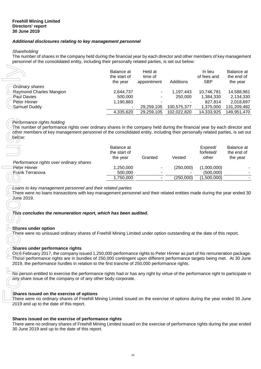## *Additional disclosures relating to key management personnel*

#### *Shareholding*

The number of shares in the company held during the financial year by each director and other members of key management personnel of the consolidated entity, including their personally related parties, is set out below:

|                                                                                                                                                                                                                                                                                                  | Balance at   | Held at     |             | In lieu     | Balance at  |
|--------------------------------------------------------------------------------------------------------------------------------------------------------------------------------------------------------------------------------------------------------------------------------------------------|--------------|-------------|-------------|-------------|-------------|
|                                                                                                                                                                                                                                                                                                  | the start of | time of     |             | of fees and | the end of  |
|                                                                                                                                                                                                                                                                                                  | the year     | appointment | Additions   | <b>SBP</b>  | the year    |
| Ordinary shares                                                                                                                                                                                                                                                                                  |              |             |             |             |             |
| Raymond Charles Mangion                                                                                                                                                                                                                                                                          | 2,644,737    |             | 1,197,443   | 10,746,781  | 14,588,961  |
| Paul Davies                                                                                                                                                                                                                                                                                      | 500,000      |             | 250,000     | 1,384,330   | 2,134,330   |
| Peter Hinner                                                                                                                                                                                                                                                                                     | 1,190,883    |             |             | 827,814     | 2,018,697   |
| Samuel Duddy                                                                                                                                                                                                                                                                                     |              | 29,259,105  | 100,575,377 | 1,375,000   | 131,209,482 |
|                                                                                                                                                                                                                                                                                                  | 4,335,620    | 29,259,105  | 102,022,820 | 14,333,925  | 149,951,470 |
| Performance rights holding<br>The number of performance rights over ordinary shares in the company held during the financial year by each director and<br>other members of key management personnel of the consolidated entity, including their personally related parties, is set out<br>below: | Balance at   |             |             | Expired/    | Balance at  |
|                                                                                                                                                                                                                                                                                                  | the start of |             |             | forfeited/  | the end of  |
|                                                                                                                                                                                                                                                                                                  | the year     | Granted     | Vested      | other       | the year    |
| Performance rights over ordinary shares                                                                                                                                                                                                                                                          |              |             |             |             |             |
| Peter Hinner                                                                                                                                                                                                                                                                                     | 1,250,000    |             | (250,000)   | (1,000,000) |             |
| <b>Erank Terranova</b>                                                                                                                                                                                                                                                                           | 500,000      |             |             | (500,000)   |             |
|                                                                                                                                                                                                                                                                                                  | 1,750,000    |             | (250,000)   | (1,500,000) |             |
| This concludes the remuneration report, which has been audited.<br>Shares under option<br>There were no unissued ordinary shares of Freehill Mining Limited under option outstanding at the date of this report.                                                                                 |              |             |             |             |             |
| Shares under performance rights<br>On 6 February 2017, the company issued 1,250,000 performance rights to Peter Hinner as part of his remuneration package.<br>These performance rights are in bundles of 250,000 contingent upon different performance targets being met. At 30 June            |              |             |             |             |             |
| 2019, the performance hurdles in relation to the first tranche of 250,000 performance rights.                                                                                                                                                                                                    |              |             |             |             |             |
| No person entitled to exercise the performance rights had or has any right by virtue of the performance right to participate in<br>any share issue of the company or of any other body corporate.                                                                                                |              |             |             |             |             |
| Shares issued on the exercise of options<br>There were no ordinary shares of Freehill Mining Limited issued on the exercise of options during the year ended 30 June<br>2019 and up to the date of this report.                                                                                  |              |             |             |             |             |
| Shares issued on the exercise of performance rights<br>There were no ordinary shares of Freehill Mining Limited issued on the exercise of performance rights during the year ended<br>30 June 2019 and up to the date of this report.                                                            |              |             |             |             |             |

#### *Performance rights holding*

|                                                         | Balance at<br>the start of<br>the year | Granted                  | Vested    | Expired/<br>forfeited/<br>other | Balance at<br>the end of<br>the year |
|---------------------------------------------------------|----------------------------------------|--------------------------|-----------|---------------------------------|--------------------------------------|
| Performance rights over ordinary shares<br>Peter Hinner | 1,250,000                              | $\overline{\phantom{a}}$ | (250,000) | (1,000,000)                     |                                      |
| <b>Frank Terranova</b>                                  | 500,000                                |                          | ۰.        | (500,000)                       |                                      |
|                                                         | 1,750,000                              |                          | (250,000) | (1,500,000)                     |                                      |
|                                                         |                                        |                          |           |                                 |                                      |

#### **Shares under option**

#### **Shares under performance rights**

#### **Shares issued on the exercise of options**

#### **Shares issued on the exercise of performance rights**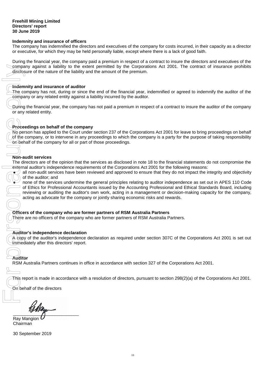#### **Indemnity and insurance of officers**

The company has indemnified the directors and executives of the company for costs incurred, in their capacity as a director or executive, for which they may be held personally liable, except where there is a lack of good faith.

During the financial year, the company paid a premium in respect of a contract to insure the directors and executives of the company against a liability to the extent permitted by the Corporations Act 2001. The contract of insurance prohibits disclosure of the nature of the liability and the amount of the premium.

#### **Indemnity and insurance of auditor**

The company has not, during or since the end of the financial year, indemnified or agreed to indemnify the auditor of the company or any related entity against a liability incurred by the auditor.

During the financial year, the company has not paid a premium in respect of a contract to insure the auditor of the company or any related entity.

## **Proceedings on behalf of the company**

No person has applied to the Court under section 237 of the Corporations Act 2001 for leave to bring proceedings on behalf of the company, or to intervene in any proceedings to which the company is a party for the purpose of taking responsibility on behalf of the company for all or part of those proceedings.

#### **Non-audit services**

The directors are of the opinion that the services as disclosed in note 18 to the financial statements do not compromise the external auditor's independence requirements of the Corporations Act 2001 for the following reasons:

all non-audit services have been reviewed and approved to ensure that they do not impact the integrity and objectivity of the auditor; and

none of the services undermine the general principles relating to auditor independence as set out in APES 110 Code of Ethics for Professional Accountants issued by the Accounting Professional and Ethical Standards Board, including reviewing or auditing the auditor's own work, acting in a management or decision-making capacity for the company, acting as advocate for the company or jointly sharing economic risks and rewards. company against a<br>disclosure of the nature<br>The company or any relate<br>Company or any related entity.<br>The company or any related entity.<br>The form of the company, or to the No person has applied of the company, or to the Sept

#### **Officers of the company who are former partners of RSM Australia Partners**

There are no officers of the company who are former partners of RSM Australia Partners.

#### **Auditor's independence declaration**

A copy of the auditor's independence declaration as required under section 307C of the Corporations Act 2001 is set out immediately after this directors' report.

# **Auditor**

RSM Australia Partners continues in office in accordance with section 327 of the Corporations Act 2001.

This report is made in accordance with a resolution of directors, pursuant to section 298(2)(a) of the Corporations Act 2001.

On behalf of the directors

 $\overline{\phantom{a}}$ 

Ray Mangion Chairman

30 September 2019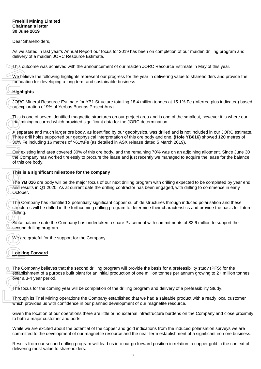#### **Freehill Mining Limited Chairman's letter 30 June 2019**

Dear Shareholders,

As we stated in last year's Annual Report our focus for 2019 has been on completion of our maiden drilling program and delivery of a maiden JORC Resource Estimate.

This outcome was achieved with the announcement of our maiden JORC Resource Estimate in May of this year.

We believe the following highlights represent our progress for the year in delivering value to shareholders and provide the foundation for developing a long term and sustainable business.

# **Highlights**

JORC Mineral Resource Estimate for YB1 Structure totalling 18.4 million tonnes at 15.1% Fe (Inferred plus indicated) based on exploration of 9% of Yerbas Buenas Project Area.

This is one of seven identified magnetite structures on our project area and is one of the smallest, however it is where our trial mining occurred which provided significant data for the JORC determination.

A separate and much larger ore body, as identified by our geophysics, was drilled and is not included in our JORC estimate. Three drill holes supported our geophysical interpretation of this ore body and one, **(Hole YB016)** showed 120 metres of 30% Fe including 16 metres of >61%Fe (as detailed in ASX release dated 5 March 2019).

Our existing land area covered 30% of this ore body, and the remaining 70% was on an adjoining allotment. Since June 30 the Company has worked tirelessly to procure the lease and just recently we managed to acquire the lease for the balance of this ore body.

#### **This is a significant milestone for the company**

The **YB 016** ore body will be the major focus of our next drilling program with drilling expected to be completed by year end and results in Q1 2020. As at current date the drilling contractor has been engaged, with drilling to commence in early October.

The Company has identified 2 potentially significant copper sulphide structures through induced polarisation and these structures will be drilled in the forthcoming drilling program to determine their characteristics and provide the basis for future drilling. This outcome was achieved with the armow the solution of ordeveloping a long term foundation for developing a long term and the separate for the exploration of 9% of Yerbas Buenas This is one of several dentaring occurred

Since balance date the Company has undertaken a share Placement with commitments of \$2.6 million to support the second drilling program.

We are grateful for the support for the Company.

# **Looking Forward**

The Company believes that the second drilling program will provide the basis for a prefeasibility study (PFS) for the establishment of a purpose built plant for an initial production of one million tonnes per annum growing to 2+ million tonnes over a 3-4 year period.

The focus for the coming year will be completion of the drilling program and delivery of a prefeasibility Study.

Through its Trial Mining operations the Company established that we had a saleable product with a ready local customer which provides us with confidence in our planned development of our magnetite resource.

Given the location of our operations there are little or no external infrastructure burdens on the Company and close proximity to both a major customer and ports.

While we are excited about the potential of the copper and gold indications from the induced polarisation surveys we are committed to the development of our magnetite resource and the near term establishment of a significant iron ore business.

Results from our second drilling program will lead us into our go forward position in relation to copper gold in the context of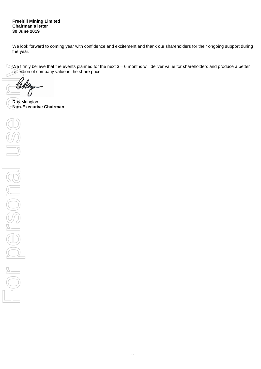**Freehill Mining Limited Chairman's letter 30 June 2019**

We look forward to coming year with confidence and excitement and thank our shareholders for their ongoing support during the year.

We firmly believe that the events planned for the next  $3 - 6$  months will deliver value for shareholders and produce a better reflection of company value in the share price.

Ray Mangion<br>Non-Executive Chairman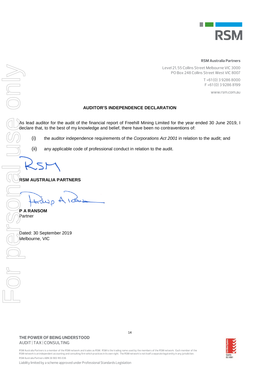

#### **RSM Australia Partners**

Level 21, 55 Collins Street Melbourne VIC 3000 PO Box 248 Collins Street West VIC 8007

> T +61 (0) 3 9286 8000 F +61 (0) 3 9286 8199

> > www.rsm.com.au

## **AUDITOR'S INDEPENDENCE DECLARATION**

As lead auditor for the audit of the financial report of Freehill Mining Limited for the year ended 30 June 2019, I declare that, to the best of my knowledge and belief, there have been no contraventions of:

(i) the auditor independence requirements of the *Corporations Act 2001* in relation to the audit; and

(ii) any applicable code of professional conduct in relation to the audit.

**RSM AUSTRALIA PARTNERS** 

Melbourne, VIC Contact Contact Contact Contact Contact Contact Contact Contact Contact Contact Contact Contact Contact Contact Contact Contact Contact Contact Contact Contact Contact Contact Contact Contact Contact Contact

**P A RANSOM** Partner

Dated: 30 September 2019

RSM Australia Partners is a member of the RSM network and trades as RSM. RSM is the trading name used by the members of the RSM network. Each member of the<br>RSM network is an independent accounting and consulting firm which RSM Australia Partners ABN 36 965 185 036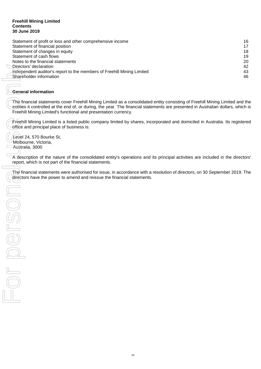#### **Freehill Mining Limited Contents 30 June 2019**

| Statement of profit or loss and other comprehensive income             | 16 |
|------------------------------------------------------------------------|----|
| Statement of financial position                                        | 17 |
| Statement of changes in equity                                         | 18 |
| Statement of cash flows                                                | 19 |
| Notes to the financial statements                                      | 20 |
| Directors' declaration                                                 | 42 |
| Independent auditor's report to the members of Freehill Mining Limited | 43 |
| Shareholder information                                                | 46 |

# **General information**

The financial statements cover Freehill Mining Limited as a consolidated entity consisting of Freehill Mining Limited and the entities it controlled at the end of, or during, the year. The financial statements are presented in Australian dollars, which is Freehill Mining Limited's functional and presentation currency.

Freehill Mining Limited is a listed public company limited by shares, incorporated and domiciled in Australia. Its registered office and principal place of business is:

Level 24, 570 Bourke St, Melbourne, Victoria, Australia, 3000

A description of the nature of the consolidated entity's operations and its principal activities are included in the directors' report, which is not part of the financial statements.

The financial statements were authorised for issue, in accordance with a resolution of directors, on 30 September 2019. The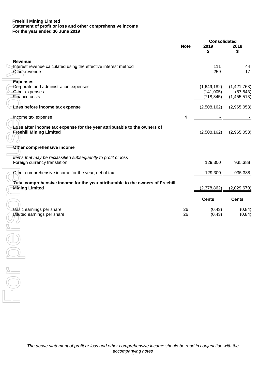#### **Freehill Mining Limited Statement of profit or loss and other comprehensive income For the year ended 30 June 2019**

|                                                                                |             |                         | <b>Consolidated</b>      |
|--------------------------------------------------------------------------------|-------------|-------------------------|--------------------------|
|                                                                                | <b>Note</b> | 2019<br>\$              | 2018<br>\$               |
| Revenue<br>Interest revenue calculated using the effective interest method     |             | 111<br>259              | 44<br>17                 |
| Other revenue                                                                  |             |                         |                          |
| <b>Expenses</b>                                                                |             |                         |                          |
| Corporate and administration expenses                                          |             | (1,649,182)             | (1,421,763)              |
| Other expenses<br>Finance costs                                                |             | (141,005)<br>(718, 345) | (87, 843)<br>(1,455,513) |
|                                                                                |             |                         |                          |
| Loss before income tax expense                                                 |             | (2,508,162)             | (2,965,058)              |
| Income tax expense                                                             | 4           |                         |                          |
| Loss after income tax expense for the year attributable to the owners of       |             |                         |                          |
| <b>Freehill Mining Limited</b>                                                 |             | (2,508,162)             | (2,965,058)              |
|                                                                                |             |                         |                          |
| Other comprehensive income                                                     |             |                         |                          |
| Trems that may be reclassified subsequently to profit or loss                  |             |                         |                          |
| Foreign currency translation                                                   |             | 129,300                 | 935,388                  |
| Other comprehensive income for the year, net of tax                            |             | 129,300                 | 935,388                  |
| Total comprehensive income for the year attributable to the owners of Freehill |             |                         |                          |
| <b>Mining Limited</b>                                                          |             | (2,378,862)             | (2,029,670)              |
|                                                                                |             | <b>Cents</b>            | <b>Cents</b>             |
|                                                                                |             |                         |                          |
| Basic earnings per share<br><b>Diluted earnings per share</b>                  | 26<br>26    | (0.43)<br>(0.43)        | (0.84)<br>(0.84)         |
|                                                                                |             |                         |                          |
|                                                                                |             |                         |                          |
|                                                                                |             |                         |                          |
|                                                                                |             |                         |                          |
|                                                                                |             |                         |                          |
|                                                                                |             |                         |                          |
|                                                                                |             |                         |                          |
|                                                                                |             |                         |                          |
|                                                                                |             |                         |                          |
|                                                                                |             |                         |                          |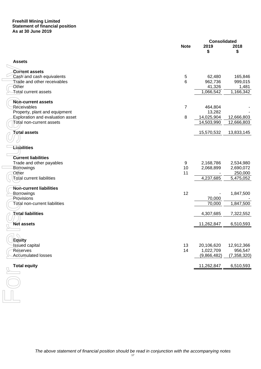#### **Freehill Mining Limited Statement of financial position As at 30 June 2019**

|                                  |                 |                          | <b>Consolidated</b>    |
|----------------------------------|-----------------|--------------------------|------------------------|
|                                  | <b>Note</b>     | 2019<br>S                | 2018<br>\$             |
| <b>Assets</b>                    |                 |                          |                        |
| <b>Current assets</b>            |                 |                          |                        |
| Cash and cash equivalents        | $\sqrt{5}$      | 62,480                   | 165,846                |
| Trade and other receivables      | $6\phantom{1}6$ | 962,736                  | 999,015                |
| Other                            |                 | 41,326                   | 1,481                  |
| <b>Total current assets</b>      |                 | 1,066,542                | $\overline{1,}166,342$ |
| <b>Non-current assets</b>        |                 |                          |                        |
| Réceivables                      | $\overline{7}$  | 464,804                  |                        |
| Property, plant and equipment    |                 | 13,282                   |                        |
| Exploration and evaluation asset | 8               | 14,025,904               | 12,666,803             |
| Total non-current assets         |                 | 14,503,990               | 12,666,803             |
| Total assets                     |                 | 15,570,532               | 13,833,145             |
|                                  |                 |                          |                        |
| <b>Liabilities</b>               |                 |                          |                        |
| <b>Current liabilities</b>       |                 |                          |                        |
| Trade and other payables         | 9               | 2,168,786                | 2,534,980              |
| Borrowings                       | 10              | 2,068,899                | 2,690,072              |
| Other                            | 11              |                          | 250,000                |
| Total current liabilities        |                 | 4,237,685                | 5,475,052              |
| Non-current liabilities          |                 |                          |                        |
| Borrowings                       | 12              |                          | 1,847,500              |
| Provisions                       |                 | 70,000                   |                        |
| Total non-current liabilities    |                 | 70,000                   | 1,847,500              |
| <b>Total liabilities</b>         |                 | 4,307,685                | 7,322,552              |
| <b>Net assets</b>                |                 | 11,262,847               | 6,510,593              |
|                                  |                 |                          |                        |
|                                  |                 |                          |                        |
| Eguity                           |                 |                          |                        |
| Issued capital                   | 13<br>14        | 20,106,620               | 12,912,366             |
| Reserves<br>Accumulated losses   |                 | 1,022,709<br>(9,866,482) | 956,547                |
|                                  |                 |                          | (7, 358, 320)          |
| <b>Total equity</b>              |                 | 11,262,847               | 6,510,593              |
|                                  |                 |                          |                        |
|                                  |                 |                          |                        |
|                                  |                 |                          |                        |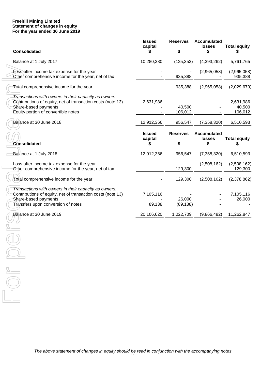#### **Freehill Mining Limited Statement of changes in equity For the year ended 30 June 2019**

| <b>Consolidated</b>                                                                                                                                                                 | <b>Issued</b><br>capital       | <b>Reserves</b><br>\$ | <b>Accumulated</b><br><b>losses</b><br>S  | <b>Total equity</b><br>S       |
|-------------------------------------------------------------------------------------------------------------------------------------------------------------------------------------|--------------------------------|-----------------------|-------------------------------------------|--------------------------------|
| Balance at 1 July 2017                                                                                                                                                              | 10,280,380                     | (125, 353)            | (4,393,262)                               | 5,761,765                      |
| Loss after income tax expense for the year<br>Other comprehensive income for the year, net of tax                                                                                   |                                | 935,388               | (2,965,058)                               | (2,965,058)<br>935,388         |
| Total comprehensive income for the year                                                                                                                                             |                                | 935,388               | (2,965,058)                               | (2,029,670)                    |
| Transactions with owners in their capacity as owners:<br>Contributions of equity, net of transaction costs (note 13)<br>Share-based payments<br>Equity portion of convertible notes | 2,631,986                      | 40,500<br>106,012     |                                           | 2,631,986<br>40,500<br>106,012 |
| Balance at 30 June 2018                                                                                                                                                             | 12,912,366                     | 956,547               | (7,358,320)                               | 6,510,593                      |
| <b>Consolidated</b>                                                                                                                                                                 | <b>Issued</b><br>capital<br>\$ | <b>Reserves</b><br>\$ | <b>Accumulated</b><br><b>losses</b><br>\$ | <b>Total equity</b><br>S       |
| Balance at 1 July 2018                                                                                                                                                              | 12,912,366                     | 956,547               | (7, 358, 320)                             | 6,510,593                      |
| Loss after income tax expense for the year<br>Other comprehensive income for the year, net of tax                                                                                   |                                | 129,300               | (2,508,162)                               | (2,508,162)<br>129,300         |
| Total comprehensive income for the year                                                                                                                                             |                                | 129,300               | (2,508,162)                               | (2,378,862)                    |
| Transactions with owners in their capacity as owners:<br>Contributions of equity, net of transaction costs (note 13)<br>Share-based payments<br>Transfers upon conversion of notes  | 7,105,116<br>89,138            | 26,000<br>(89, 138)   |                                           | 7,105,116<br>26,000            |
| Balance at 30 June 2019                                                                                                                                                             | 20,106,620                     | 1,022,709             | (9,866,482)                               | 11,262,847                     |
|                                                                                                                                                                                     |                                |                       |                                           |                                |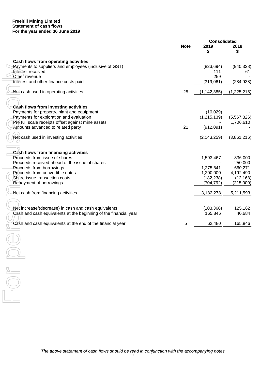#### **Freehill Mining Limited Statement of cash flows For the year ended 30 June 2019**

|                                                                                                                                             | <b>Consolidated</b> |                           |                          |
|---------------------------------------------------------------------------------------------------------------------------------------------|---------------------|---------------------------|--------------------------|
|                                                                                                                                             | <b>Note</b>         | 2019<br>S                 | 2018<br>\$               |
| Cash flows from operating activities                                                                                                        |                     |                           |                          |
| Payments to suppliers and employees (inclusive of GST)<br>Interest received<br>Other revenue                                                |                     | (823, 694)<br>111<br>259  | (940, 338)<br>61         |
| interest and other finance costs paid                                                                                                       |                     | (319,061)                 | (284, 938)               |
| Net cash used in operating activities                                                                                                       | 25                  | (1, 142, 385)             | (1,225,215)              |
| Cash flows from investing activities                                                                                                        |                     |                           |                          |
| Payments for property, plant and equipment<br>Payments for exploration and evaluation<br>Pre full scale receipts offset against mine assets |                     | (16,029)<br>(1, 215, 139) | (5,567,826)<br>1,706,610 |
| Amounts advanced to related party                                                                                                           | 21                  | (912,091)                 |                          |
| Net cash used in investing activities                                                                                                       |                     | (2, 143, 259)             | (3,861,216)              |
| Cash flows from financing activities                                                                                                        |                     |                           |                          |
| Proceeds from issue of shares                                                                                                               |                     | 1,593,467                 | 336,000                  |
| Proceeds received ahead of the issue of shares<br>Proceeds from borrowings                                                                  |                     | 1,275,841                 | 250,000<br>660,271       |
| Proceeds from convertible notes                                                                                                             |                     | 1,200,000                 | 4,192,490                |
| Share issue transaction costs                                                                                                               |                     | (182, 238)                | (12, 168)                |
| Repayment of borrowings                                                                                                                     |                     | (704, 792)                | (215,000)                |
| Net cash from financing activities                                                                                                          |                     | 3,182,278                 | 5,211,593                |
|                                                                                                                                             |                     |                           |                          |
| Net increase/(decrease) in cash and cash equivalents<br>Cash and cash equivalents at the beginning of the financial year                    |                     | (103, 366)<br>165,846     | 125,162<br>40,684        |
| Cash and cash equivalents at the end of the financial year                                                                                  | 5                   | 62,480                    | 165,846                  |
|                                                                                                                                             |                     |                           |                          |
|                                                                                                                                             |                     |                           |                          |
|                                                                                                                                             |                     |                           |                          |
|                                                                                                                                             |                     |                           |                          |
|                                                                                                                                             |                     |                           |                          |
|                                                                                                                                             |                     |                           |                          |
|                                                                                                                                             |                     |                           |                          |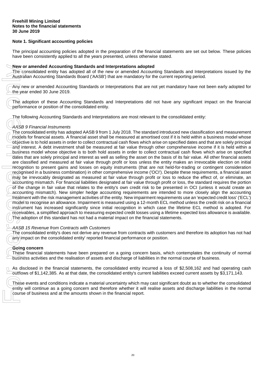# **Note 1. Significant accounting policies**

The principal accounting policies adopted in the preparation of the financial statements are set out below. These policies have been consistently applied to all the years presented, unless otherwise stated.

## **New or amended Accounting Standards and Interpretations adopted**

The consolidated entity has adopted all of the new or amended Accounting Standards and Interpretations issued by the Australian Accounting Standards Board ('AASB') that are mandatory for the current reporting period.

Any new or amended Accounting Standards or Interpretations that are not yet mandatory have not been early adopted for the year ended 30 June 2019.

The adoption of these Accounting Standards and Interpretations did not have any significant impact on the financial performance or position of the consolidated entity.

The following Accounting Standards and Interpretations are most relevant to the consolidated entity:

# *AASB 9 Financial Instruments*

The consolidated entity has adopted AASB 9 from 1 July 2018. The standard introduced new classification and measurement models for financial assets. A financial asset shall be measured at amortised cost if it is held within a business model whose objective is to hold assets in order to collect contractual cash flows which arise on specified dates and that are solely principal and interest. A debt investment shall be measured at fair value through other comprehensive income if it is held within a business model whose objective is to both hold assets in order to collect contractual cash flows which arise on specified dates that are solely principal and interest as well as selling the asset on the basis of its fair value. All other financial assets are classified and measured at fair value through profit or loss unless the entity makes an irrevocable election on initial recognition to present gains and losses on equity instruments (that are not held-for-trading or contingent consideration recognised in a business combination) in other comprehensive income ('OCI'). Despite these requirements, a financial asset may be irrevocably designated as measured at fair value through profit or loss to reduce the effect of, or eliminate, an accounting mismatch. For financial liabilities designated at fair value through profit or loss, the standard requires the portion of the change in fair value that relates to the entity's own credit risk to be presented in OCI (unless it would create an accounting mismatch). New simpler hedge accounting requirements are intended to more closely align the accounting treatment with the risk management activities of the entity. New impairment requirements use an 'expected credit loss' ('ECL') model to recognise an allowance. Impairment is measured using a 12-month ECL method unless the credit risk on a financial instrument has increased significantly since initial recognition in which case the lifetime ECL method is adopted. For receivables, a simplified approach to measuring expected credit losses using a lifetime expected loss allowance is available. The adoption of this standard has not had a material impact on the financial statements. New or amonded Accounting Standards and Interpretations and<br>The consolidated entity has adopted all of the new or amended Accounting<br>Standards Board (AASB) that are mandatory<br>The adoption of these Accounting Standards or I

## *AASB 15 Revenue from Contracts with Customers*

The consolidated entity's does not derive any revenue from contracts with customers and therefore its adoption has not had any impact on the consolidated entity' reported financial performance or position.

## **Going concern**

These financial statements have been prepared on a going concern basis, which contemplates the continuity of normal business activities and the realisation of assets and discharge of liabilities in the normal course of business.

As disclosed in the financial statements, the consolidated entity incurred a loss of \$2,508,162 and had operating cash outflows of \$1,142,385. As at that date, the consolidated entity's current liabilities exceed current assets by \$3,171,143.

These events and conditions indicate a material uncertainty which may cast significant doubt as to whether the consolidated entity will continue as a going concern and therefore whether it will realise assets and discharge liabilities in the normal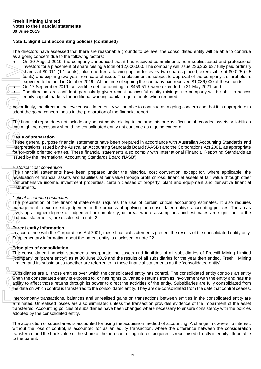The directors have assessed that there are reasonable grounds to believe the consolidated entity will be able to continue as a going concern due to the following factors:

- On 30 August 2019, the company announced that it has received commitments from sophisticated and professional investors for a placement of share raising a total of \$2,600,000. The company will issue 236,363,637 fully paid ordinary shares at \$0.011 (1.1 cents), plus one free attaching option for every two shares placed, exercisable at \$0.025 (2.5 cents) and expiring two year from date of issue. The placement is subject to approval of the company's shareholders expected to be held in October 2019. At the time of signing the company had received \$1,036,000 of these funds;
- On 17 September 2019, convertible debt amounting to \$459,519 were extended to 31 May 2021; and
- The directors are confident, particularly given recent successful equity raisings, the company will be able to access equity capital markets for additional working capital requirements when required.

Accordingly, the directors believe consolidated entity will be able to continue as a going concern and that it is appropriate to adopt the going concern basis in the preparation of the financial report.

The financial report does not include any adjustments relating to the amounts or classification of recorded assets or liabilities that might be necessary should the consolidated entity not continue as a going concern.

## **Basis of preparation**

These general purpose financial statements have been prepared in accordance with Australian Accounting Standards and Interpretations issued by the Australian Accounting Standards Board ('AASB') and the Corporations Act 2001, as appropriate for for-profit oriented entities. These financial statements also comply with International Financial Reporting Standards as issued by the International Accounting Standards Board ('IASB'). investors<br>
shares a<br>
cents) and<br>
sequences<br>
on 17 Since discussions of the direction<br>
of the financial reductions<br>
adopt the goir<br>
free general<br>
interpretations<br>
from the personal interpretations<br>
of the financial costs<br>
o

#### *Historical cost convention*

The financial statements have been prepared under the historical cost convention, except for, where applicable, the revaluation of financial assets and liabilities at fair value through profit or loss, financial assets at fair value through other comprehensive income, investment properties, certain classes of property, plant and equipment and derivative financial instruments.

#### *Critical accounting estimates*

The preparation of the financial statements requires the use of certain critical accounting estimates. It also requires management to exercise its judgement in the process of applying the consolidated entity's accounting policies. The areas involving a higher degree of judgement or complexity, or areas where assumptions and estimates are significant to the financial statements, are disclosed in note 2.

#### **Parent entity information**

In accordance with the Corporations Act 2001, these financial statements present the results of the consolidated entity only. Supplementary information about the parent entity is disclosed in note 22.

#### **Principles of consolidation**

The consolidated financial statements incorporate the assets and liabilities of all subsidiaries of Freehill Mining Limited ('company' or 'parent entity') as at 30 June 2019 and the results of all subsidiaries for the year then ended. Freehill Mining Limited and its subsidiaries together are referred to in these financial statements as the 'consolidated entity'.

Subsidiaries are all those entities over which the consolidated entity has control. The consolidated entity controls an entity when the consolidated entity is exposed to, or has rights to, variable returns from its involvement with the entity and has the ability to affect those returns through its power to direct the activities of the entity. Subsidiaries are fully consolidated from the date on which control is transferred to the consolidated entity. They are de-consolidated from the date that control ceases.

Intercompany transactions, balances and unrealised gains on transactions between entities in the consolidated entity are eliminated. Unrealised losses are also eliminated unless the transaction provides evidence of the impairment of the asset transferred. Accounting policies of subsidiaries have been changed where necessary to ensure consistency with the policies adopted by the consolidated entity.

The acquisition of subsidiaries is accounted for using the acquisition method of accounting. A change in ownership interest, without the loss of control, is accounted for as an equity transaction, where the difference between the consideration transferred and the book value of the share of the non-controlling interest acquired is recognised directly in equity attributable to the parent.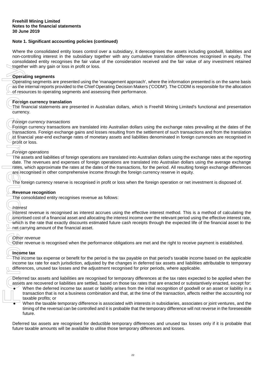Where the consolidated entity loses control over a subsidiary, it derecognises the assets including goodwill, liabilities and non-controlling interest in the subsidiary together with any cumulative translation differences recognised in equity. The consolidated entity recognises the fair value of the consideration received and the fair value of any investment retained together with any gain or loss in profit or loss.

## **Operating segments**

Operating segments are presented using the 'management approach', where the information presented is on the same basis as the internal reports provided to the Chief Operating Decision Makers ('CODM'). The CODM is responsible for the allocation of resources to operating segments and assessing their performance.

## **Foreign currency translation**

The financial statements are presented in Australian dollars, which is Freehill Mining Limited's functional and presentation currency.

## *Foreign currency transactions*

Foreign currency transactions are translated into Australian dollars using the exchange rates prevailing at the dates of the transactions. Foreign exchange gains and losses resulting from the settlement of such transactions and from the translation at financial year-end exchange rates of monetary assets and liabilities denominated in foreign currencies are recognised in profit or loss.

## *Foreign operations*

The assets and liabilities of foreign operations are translated into Australian dollars using the exchange rates at the reporting date. The revenues and expenses of foreign operations are translated into Australian dollars using the average exchange rates, which approximate the rates at the dates of the transactions, for the period. All resulting foreign exchange differences are recognised in other comprehensive income through the foreign currency reserve in equity. Future will any gain or loss in profit or loss.<br> **Constitute** are more amounts are presented using the "management approach", where the information<br>
or the internal reports to operating segments and assessing their perform

The foreign currency reserve is recognised in profit or loss when the foreign operation or net investment is disposed of.

## **Revenue recognition**

The consolidated entity recognises revenue as follows:

## *Interest*

Interest revenue is recognised as interest accrues using the effective interest method. This is a method of calculating the amortised cost of a financial asset and allocating the interest income over the relevant period using the effective interest rate, which is the rate that exactly discounts estimated future cash receipts through the expected life of the financial asset to the net carrying amount of the financial asset.

## *Other revenue*

Other revenue is recognised when the performance obligations are met and the right to receive payment is established.

# **Income tax**

The income tax expense or benefit for the period is the tax payable on that period's taxable income based on the applicable income tax rate for each jurisdiction, adjusted by the changes in deferred tax assets and liabilities attributable to temporary differences, unused tax losses and the adjustment recognised for prior periods, where applicable.

Deferred tax assets and liabilities are recognised for temporary differences at the tax rates expected to be applied when the assets are recovered or liabilities are settled, based on those tax rates that are enacted or substantively enacted, except for:

- When the deferred income tax asset or liability arises from the initial recognition of goodwill or an asset or liability in a transaction that is not a business combination and that, at the time of the transaction, affects neither the accounting nor taxable profits; or
- When the taxable temporary difference is associated with interests in subsidiaries, associates or joint ventures, and the timing of the reversal can be controlled and it is probable that the temporary difference will not reverse in the foreseeable future.

Deferred tax assets are recognised for deductible temporary differences and unused tax losses only if it is probable that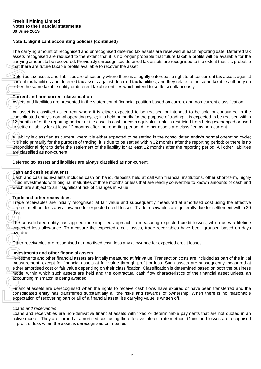The carrying amount of recognised and unrecognised deferred tax assets are reviewed at each reporting date. Deferred tax assets recognised are reduced to the extent that it is no longer probable that future taxable profits will be available for the carrying amount to be recovered. Previously unrecognised deferred tax assets are recognised to the extent that it is probable that there are future taxable profits available to recover the asset.

Deferred tax assets and liabilities are offset only where there is a legally enforceable right to offset current tax assets against current tax liabilities and deferred tax assets against deferred tax liabilities; and they relate to the same taxable authority on either the same taxable entity or different taxable entities which intend to settle simultaneously.

# **Current and non-current classification**

Assets and liabilities are presented in the statement of financial position based on current and non-current classification.

An asset is classified as current when: it is either expected to be realised or intended to be sold or consumed in the consolidated entity's normal operating cycle; it is held primarily for the purpose of trading; it is expected to be realised within 12 months after the reporting period; or the asset is cash or cash equivalent unless restricted from being exchanged or used to settle a liability for at least 12 months after the reporting period. All other assets are classified as non-current.

A liability is classified as current when: it is either expected to be settled in the consolidated entity's normal operating cycle; it is held primarily for the purpose of trading; it is due to be settled within 12 months after the reporting period; or there is no unconditional right to defer the settlement of the liability for at least 12 months after the reporting period. All other liabilities are classified as non-current.

Deferred tax assets and liabilities are always classified as non-current.

## **Cash and cash equivalents**

Cash and cash equivalents includes cash on hand, deposits held at call with financial institutions, other short-term, highly liquid investments with original maturities of three months or less that are readily convertible to known amounts of cash and which are subject to an insignificant risk of changes in value.

## **Trade and other receivables**

Trade receivables are initially recognised at fair value and subsequently measured at amortised cost using the effective interest method, less any allowance for expected credit losses. Trade receivables are generally due for settlement within 30 days.

The consolidated entity has applied the simplified approach to measuring expected credit losses, which uses a lifetime expected loss allowance. To measure the expected credit losses, trade receivables have been grouped based on days overdue.

Other receivables are recognised at amortised cost, less any allowance for expected credit losses.

## **Investments and other financial assets**

Investments and other financial assets are initially measured at fair value. Transaction costs are included as part of the initial measurement, except for financial assets at fair value through profit or loss. Such assets are subsequently measured at either amortised cost or fair value depending on their classification. Classification is determined based on both the business model within which such assets are held and the contractual cash flow characteristics of the financial asset unless, an accounting mismatch is being avoided. that there are future taxable profits available to recover the a<br>
Deferred tax assets and iabilities are dristed or ly where there<br>
current tax liabilities and deferred tax assets against deferre<br>
current tax liabilities a

Financial assets are derecognised when the rights to receive cash flows have expired or have been transferred and the consolidated entity has transferred substantially all the risks and rewards of ownership. When there is no reasonable expectation of recovering part or all of a financial asset, it's carrying value is written off.

## *Loans and receivables*

Loans and receivables are non-derivative financial assets with fixed or determinable payments that are not quoted in an active market. They are carried at amortised cost using the effective interest rate method. Gains and losses are recognised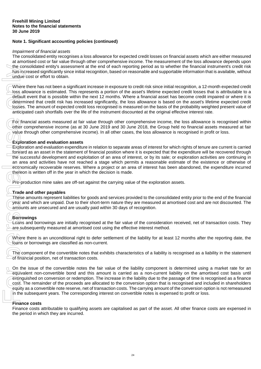### *Impairment of financial assets*

The consolidated entity recognises a loss allowance for expected credit losses on financial assets which are either measured at amortised cost or fair value through other comprehensive income. The measurement of the loss allowance depends upon the consolidated entity's assessment at the end of each reporting period as to whether the financial instrument's credit risk has increased significantly since initial recognition, based on reasonable and supportable information that is available, without undue cost or effort to obtain.

Where there has not been a significant increase in exposure to credit risk since initial recognition, a 12-month expected credit loss allowance is estimated. This represents a portion of the asset's lifetime expected credit losses that is attributable to a default event that is possible within the next 12 months. Where a financial asset has become credit impaired or where it is determined that credit risk has increased significantly, the loss allowance is based on the asset's lifetime expected credit losses. The amount of expected credit loss recognised is measured on the basis of the probability weighted present value of anticipated cash shortfalls over the life of the instrument discounted at the original effective interest rate.

For financial assets measured at fair value through other comprehensive income, the loss allowance is recognised within other comprehensive income (as at 30 June 2019 and 30 June 2018, the Group held no financial assets measured at fair value through other comprehensive income). In all other cases, the loss allowance is recognised in profit or loss.

# **Exploration and evaluation assets**

Exploration and evaluation expenditure in relation to separate areas of interest for which rights of tenure are current is carried forward as an asset in the statement of financial position where it is expected that the expenditure will be recovered through the successful development and exploitation of an area of interest, or by its sale; or exploration activities are continuing in an area and activities have not reached a stage which permits a reasonable estimate of the existence or otherwise of economically recoverable reserves. Where a project or an area of interest has been abandoned, the expenditure incurred thereon is written off in the year in which the decision is made.

Pre-production mine sales are off-set against the carrying value of the exploration assets.

## **Trade and other payables**

These amounts represent liabilities for goods and services provided to the consolidated entity prior to the end of the financial year and which are unpaid. Due to their short-term nature they are measured at amortised cost and are not discounted. The amounts are unsecured and are usually paid within 30 days of recognition.

# **Borrowings**

Loans and borrowings are initially recognised at the fair value of the consideration received, net of transaction costs. They are subsequently measured at amortised cost using the effective interest method.

Where there is an unconditional right to defer settlement of the liability for at least 12 months after the reporting date, the loans or borrowings are classified as non-current.

The component of the convertible notes that exhibits characteristics of a liability is recognised as a liability in the statement of financial position, net of transaction costs.

On the issue of the convertible notes the fair value of the liability component is determined using a market rate for an equivalent non-convertible bond and this amount is carried as a non-current liability on the amortised cost basis until extinguished on conversion or redemption. The increase in the liability due to the passage of time is recognised as a finance cost. The remainder of the proceeds are allocated to the conversion option that is recognised and included in shareholders equity as a convertible note reserve, net of transaction costs. The carrying amount of the conversion option is not remeasured in the subsequent years. The corresponding interest on convertible notes is expensed to profit or loss. the consolidated entity's assessment<br>
Ana's increased significantly since initial<br>
undue cost or effort to obtain.<br>
Where there has not been a significant<br>
loss allowance is estimated. This represented costs<br>
determined th

## **Finance costs**

Finance costs attributable to qualifying assets are capitalised as part of the asset. All other finance costs are expensed in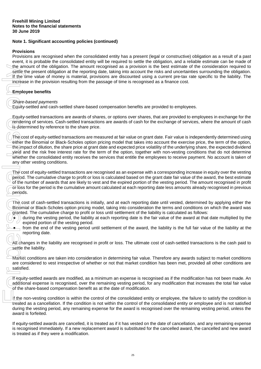# **Provisions**

Provisions are recognised when the consolidated entity has a present (legal or constructive) obligation as a result of a past event, it is probable the consolidated entity will be required to settle the obligation, and a reliable estimate can be made of the amount of the obligation. The amount recognised as a provision is the best estimate of the consideration required to settle the present obligation at the reporting date, taking into account the risks and uncertainties surrounding the obligation. If the time value of money is material, provisions are discounted using a current pre-tax rate specific to the liability. The increase in the provision resulting from the passage of time is recognised as a finance cost.

# **Employee benefits**

## *Share-based payments*

Equity-settled and cash-settled share-based compensation benefits are provided to employees.

Equity-settled transactions are awards of shares, or options over shares, that are provided to employees in exchange for the rendering of services. Cash-settled transactions are awards of cash for the exchange of services, where the amount of cash is determined by reference to the share price.

The cost of equity-settled transactions are measured at fair value on grant date. Fair value is independently determined using either the Binomial or Black-Scholes option pricing model that takes into account the exercise price, the term of the option, the impact of dilution, the share price at grant date and expected price volatility of the underlying share, the expected dividend yield and the risk free interest rate for the term of the option, together with non-vesting conditions that do not determine whether the consolidated entity receives the services that entitle the employees to receive payment. No account is taken of any other vesting conditions. the annout of the obigration. The amount of the distance and it is treated as it they were a model in the report of the time value of money is material, increase in the provision resulting from the proton of the proton of

The cost of equity-settled transactions are recognised as an expense with a corresponding increase in equity over the vesting period. The cumulative charge to profit or loss is calculated based on the grant date fair value of the award, the best estimate of the number of awards that are likely to vest and the expired portion of the vesting period. The amount recognised in profit or loss for the period is the cumulative amount calculated at each reporting date less amounts already recognised in previous periods.

The cost of cash-settled transactions is initially, and at each reporting date until vested, determined by applying either the Binomial or Black-Scholes option pricing model, taking into consideration the terms and conditions on which the award was granted. The cumulative charge to profit or loss until settlement of the liability is calculated as follows:

- $\bullet$ ) during the vesting period, the liability at each reporting date is the fair value of the award at that date multiplied by the expired portion of the vesting period.
- from the end of the vesting period until settlement of the award, the liability is the full fair value of the liability at the reporting date.
- All changes in the liability are recognised in profit or loss. The ultimate cost of cash-settled transactions is the cash paid to settle the liability.
- Market conditions are taken into consideration in determining fair value. Therefore any awards subject to market conditions are considered to vest irrespective of whether or not that market condition has been met, provided all other conditions are satisfied.

If equity-settled awards are modified, as a minimum an expense is recognised as if the modification has not been made. An additional expense is recognised, over the remaining vesting period, for any modification that increases the total fair value of the share-based compensation benefit as at the date of modification.

If the non-vesting condition is within the control of the consolidated entity or employee, the failure to satisfy the condition is treated as a cancellation. If the condition is not within the control of the consolidated entity or employee and is not satisfied during the vesting period, any remaining expense for the award is recognised over the remaining vesting period, unless the award is forfeited.

If equity-settled awards are cancelled, it is treated as if it has vested on the date of cancellation, and any remaining expense is recognised immediately. If a new replacement award is substituted for the cancelled award, the cancelled and new award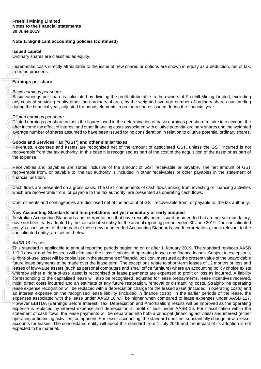## **Issued capital**

Ordinary shares are classified as equity.

Incremental costs directly attributable to the issue of new shares or options are shown in equity as a deduction, net of tax, from the proceeds.

## **Earnings per share**

#### *Basic earnings per share*

Basic earnings per share is calculated by dividing the profit attributable to the owners of Freehill Mining Limited, excluding any costs of servicing equity other than ordinary shares, by the weighted average number of ordinary shares outstanding during the financial year, adjusted for bonus elements in ordinary shares issued during the financial year.

#### *Diluted earnings per share*

Diluted earnings per share adjusts the figures used in the determination of basic earnings per share to take into account the after income tax effect of interest and other financing costs associated with dilutive potential ordinary shares and the weighted average number of shares assumed to have been issued for no consideration in relation to dilutive potential ordinary shares.

## **Goods and Services Tax ('GST') and other similar taxes**

Revenues, expenses and assets are recognised net of the amount of associated GST, unless the GST incurred is not recoverable from the tax authority. In this case it is recognised as part of the cost of the acquisition of the asset or as part of the expense.

Receivables and payables are stated inclusive of the amount of GST receivable or payable. The net amount of GST recoverable from, or payable to, the tax authority is included in other receivables or other payables in the statement of financial position.

Cash flows are presented on a gross basis. The GST components of cash flows arising from investing or financing activities which are recoverable from, or payable to the tax authority, are presented as operating cash flows.

Commitments and contingencies are disclosed net of the amount of GST recoverable from, or payable to, the tax authority.

## **New Accounting Standards and Interpretations not yet mandatory or early adopted**

Australian Accounting Standards and Interpretations that have recently been issued or amended but are not yet mandatory, have not been early adopted by the consolidated entity for the annual reporting period ended 30 June 2019. The consolidated entity's assessment of the impact of these new or amended Accounting Standards and Interpretations, most relevant to the consolidated entity, are set out below.

# *AASB 16 Leases*

This standard is applicable to annual reporting periods beginning on or after 1 January 2019. The standard replaces AASB 117 'Leases' and for lessees will eliminate the classifications of operating leases and finance leases. Subject to exceptions, a 'right-of-use' asset will be capitalised in the statement of financial position, measured at the present value of the unavoidable future lease payments to be made over the lease term. The exceptions relate to short-term leases of 12 months or less and leases of low-value assets (such as personal computers and small office furniture) where an accounting policy choice exists whereby either a 'right-of-use' asset is recognised or lease payments are expensed to profit or loss as incurred. A liability corresponding to the capitalised lease will also be recognised, adjusted for lease prepayments, lease incentives received, initial direct costs incurred and an estimate of any future restoration, removal or dismantling costs. Straight-line operating lease expense recognition will be replaced with a depreciation charge for the leased asset (included in operating costs) and an interest expense on the recognised lease liability (included in finance costs). In the earlier periods of the lease, the expenses associated with the lease under AASB 16 will be higher when compared to lease expenses under AASB 117. However EBITDA (Earnings Before Interest, Tax, Depreciation and Amortisation) results will be improved as the operating expense is replaced by interest expense and depreciation in profit or loss under AASB 16. For classification within the statement of cash flows, the lease payments will be separated into both a principal (financing activities) and interest (either operating or financing activities) component. For lessor accounting, the standard does not substantially change how a lessor accounts for leases. The consolidated entity will adopt this standard from 1 July 2019 and the impact of its adoption is not Incremental costs direct<br>
from the proceeds.<br>
Earnings per share<br>
Basic earnings per share<br>
Basic earnings per share<br>
any costs of servicing ee<br>
during the financial year,<br>
Diluted earnings per share<br>
Diluted earnings per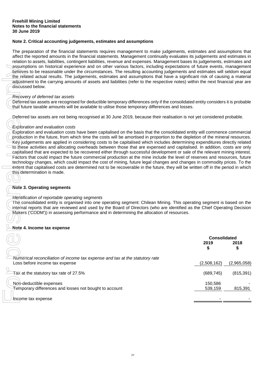# **Note 2. Critical accounting judgements, estimates and assumptions**

The preparation of the financial statements requires management to make judgements, estimates and assumptions that affect the reported amounts in the financial statements. Management continually evaluates its judgements and estimates in relation to assets, liabilities, contingent liabilities, revenue and expenses. Management bases its judgements, estimates and assumptions on historical experience and on other various factors, including expectations of future events, management believes to be reasonable under the circumstances. The resulting accounting judgements and estimates will seldom equal the related actual results. The judgements, estimates and assumptions that have a significant risk of causing a material adjustment to the carrying amounts of assets and liabilities (refer to the respective notes) within the next financial year are discussed below.

#### *Recovery of deferred tax assets*

## *Exploration and evaluation costs*

## **Note 3. Operating segments**

## *Identification of reportable operating segments*

## **Note 4. Income tax expense**

| assumptions on historical experience and on other various factors, including expectations of future events, management<br>believes to be reasonable under the circumstances. The resulting accounting judgements and estimates will seldom equal<br>the related actual results. The judgements, estimates and assumptions that have a significant risk of causing a material<br>adjustment to the carrying amounts of assets and liabilities (refer to the respective notes) within the next financial year are<br>discussed below.<br>Recovery of deferred tax assets<br>Deferred tax assets are recognised for deductible temporary differences only if the consolidated entity considers it is probable<br>that future taxable amounts will be available to utilise those temporary differences and losses.<br>Deferred tax assets are not being recognised at 30 June 2019, because their realisation is not yet considered probable.                                                                                                                                                                                      |                                   |             |
|--------------------------------------------------------------------------------------------------------------------------------------------------------------------------------------------------------------------------------------------------------------------------------------------------------------------------------------------------------------------------------------------------------------------------------------------------------------------------------------------------------------------------------------------------------------------------------------------------------------------------------------------------------------------------------------------------------------------------------------------------------------------------------------------------------------------------------------------------------------------------------------------------------------------------------------------------------------------------------------------------------------------------------------------------------------------------------------------------------------------------------|-----------------------------------|-------------|
| <b>Exploration and evaluation costs</b><br>Exploration and evaluation costs have been capitalised on the basis that the consolidated entity will commence commercial<br>production in the future, from which time the costs will be amortised in proportion to the depletion of the mineral resources.<br>Key judgements are applied in considering costs to be capitalised which includes determining expenditures directly related<br>to these activities and allocating overheads between those that are expensed and capitalised. In addition, costs are only<br>capitalised that are expected to be recovered either through successful development or sale of the relevant mining interest.<br>Factors that could impact the future commercial production at the mine include the level of reserves and resources, future<br>technology changes, which could impact the cost of mining, future legal changes and changes in commodity prices. To the<br>extent that capitalised costs are determined not to be recoverable in the future, they will be written off in the period in which<br>this determination is made. |                                   |             |
| <b>Note 3. Operating segments</b><br>Identification of reportable operating segments<br>The consolidated entity is organised into one operating segment: Chilean Mining. This operating segment is based on the<br>internal reports that are reviewed and used by the Board of Directors (who are identified as the Chief Operating Decision<br>Makers ('CODM')) in assessing performance and in determining the allocation of resources.                                                                                                                                                                                                                                                                                                                                                                                                                                                                                                                                                                                                                                                                                      |                                   |             |
| Note 4. Income tax expense                                                                                                                                                                                                                                                                                                                                                                                                                                                                                                                                                                                                                                                                                                                                                                                                                                                                                                                                                                                                                                                                                                     |                                   |             |
|                                                                                                                                                                                                                                                                                                                                                                                                                                                                                                                                                                                                                                                                                                                                                                                                                                                                                                                                                                                                                                                                                                                                | <b>Consolidated</b><br>2019<br>\$ | 2018<br>\$  |
| Numerical reconciliation of income tax expense and tax at the statutory rate<br>Loss before income tax expense                                                                                                                                                                                                                                                                                                                                                                                                                                                                                                                                                                                                                                                                                                                                                                                                                                                                                                                                                                                                                 | (2,508,162)                       | (2,965,058) |
| Tax at the statutory tax rate of 27.5%                                                                                                                                                                                                                                                                                                                                                                                                                                                                                                                                                                                                                                                                                                                                                                                                                                                                                                                                                                                                                                                                                         | (689, 745)                        | (815, 391)  |
| Non-deductible expenses<br>Temporary differences and losses not bought to account                                                                                                                                                                                                                                                                                                                                                                                                                                                                                                                                                                                                                                                                                                                                                                                                                                                                                                                                                                                                                                              | 150,586<br>539,159                | 815,391     |
| Income tax expense                                                                                                                                                                                                                                                                                                                                                                                                                                                                                                                                                                                                                                                                                                                                                                                                                                                                                                                                                                                                                                                                                                             |                                   |             |
|                                                                                                                                                                                                                                                                                                                                                                                                                                                                                                                                                                                                                                                                                                                                                                                                                                                                                                                                                                                                                                                                                                                                |                                   |             |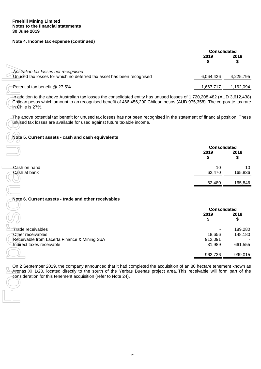### **Note 4. Income tax expense (continued)**

|                                                                                                               | <b>Consolidated</b> |           |
|---------------------------------------------------------------------------------------------------------------|---------------------|-----------|
|                                                                                                               | 2019                | 2018      |
| Australian tax losses not recognised<br>Unused tax losses for which no deferred tax asset has been recognised | 6,064,426           | 4,225,795 |
| Potential tax benefit @ 27.5%                                                                                 | 1,667,717           | 1,162,094 |

#### **Note 5. Current assets - cash and cash equivalents**

|              |        | <b>Consolidated</b> |  |
|--------------|--------|---------------------|--|
|              | 2019   | 2018<br>\$          |  |
| Cash on hand | 10     | 10                  |  |
| Cash at bank | 62,470 | 165,836             |  |
|              | 62,480 | 165,846             |  |

#### **Note 6. Current assets - trade and other receivables**

| Australian tax losses not recognised                                                                                                                                                                                                                                                                             |                     |           |
|------------------------------------------------------------------------------------------------------------------------------------------------------------------------------------------------------------------------------------------------------------------------------------------------------------------|---------------------|-----------|
| Unused tax losses for which no deferred tax asset has been recognised                                                                                                                                                                                                                                            | 6,064,426           | 4,225,795 |
| Potential tax benefit @ 27.5%                                                                                                                                                                                                                                                                                    | 1,667,717           | 1,162,094 |
| In addition to the above Australian tax losses the consolidated entity has unused losses of 1,720,208,482 (AUD 3,612,438)<br>Chilean pesos which amount to an recognised benefit of 466,456,290 Chilean pesos (AUD 975,358). The corporate tax rate<br><del>in </del> Chile is 27%.                              |                     |           |
| The above potential tax benefit for unused tax losses has not been recognised in the statement of financial position. These<br>unused tax losses are available for used against future taxable income.                                                                                                           |                     |           |
| Note 5. Current assets - cash and cash equivalents                                                                                                                                                                                                                                                               |                     |           |
|                                                                                                                                                                                                                                                                                                                  | <b>Consolidated</b> |           |
|                                                                                                                                                                                                                                                                                                                  | 2019<br>\$          | 2018<br>S |
| Cash on hand                                                                                                                                                                                                                                                                                                     | 10                  | 10        |
| Cash at bank                                                                                                                                                                                                                                                                                                     | 62,470              | 165,836   |
|                                                                                                                                                                                                                                                                                                                  | 62,480              | 165,846   |
|                                                                                                                                                                                                                                                                                                                  |                     |           |
| Note 6. Current assets - trade and other receivables                                                                                                                                                                                                                                                             |                     |           |
|                                                                                                                                                                                                                                                                                                                  | <b>Consolidated</b> |           |
|                                                                                                                                                                                                                                                                                                                  | 2019                | 2018      |
|                                                                                                                                                                                                                                                                                                                  | \$                  | S         |
| Trade receivables                                                                                                                                                                                                                                                                                                |                     | 189,280   |
| Other receivables<br>Receivable from Lacerta Finance & Mining SpA                                                                                                                                                                                                                                                | 18,656<br>912,091   | 148,180   |
| Indirect taxes receivable                                                                                                                                                                                                                                                                                        | 31,989              | 661,555   |
|                                                                                                                                                                                                                                                                                                                  |                     |           |
|                                                                                                                                                                                                                                                                                                                  | 962,736             | 999,015   |
| On 2 September 2019, the company announced that it had completed the acquisition of an 80 hectare tenement known as<br>Arenas XI 1/20, located directly to the south of the Yerbas Buenas project area. This receivable will form part of the<br>consideration for this tenement acquisition (refer to Note 24). |                     |           |
|                                                                                                                                                                                                                                                                                                                  |                     |           |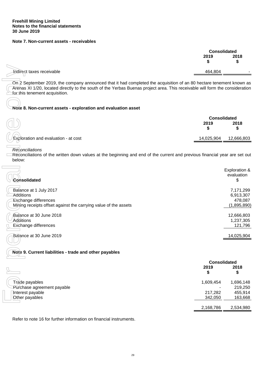#### **Note 7. Non-current assets - receivables**

|                           |           | <b>Consolidated</b> |
|---------------------------|-----------|---------------------|
|                           | 2019<br>æ | 2018                |
| Indirect taxes receivable | 464,804   | -                   |
|                           |           |                     |

#### **Note 8. Non-current assets - exploration and evaluation asset**

|                                                |            | <b>Consolidated</b> |  |
|------------------------------------------------|------------|---------------------|--|
|                                                | 2019       | 2018                |  |
| $\bigcup$ Exploration and evaluation - at cost | 14,025,904 | 12,666,803          |  |
|                                                |            |                     |  |

| Indirect taxes receivable                                                                                                                                                                                                                                                             | 464,804                           |                                                  |
|---------------------------------------------------------------------------------------------------------------------------------------------------------------------------------------------------------------------------------------------------------------------------------------|-----------------------------------|--------------------------------------------------|
| On 2 September 2019, the company announced that it had completed the acquisition of an 80 hectare tenement known as<br>Arenas XI 1/20, located directly to the south of the Yerbas Buenas project area. This receivable will form the consideration<br>for this tenement acquisition. |                                   |                                                  |
| Note 8. Non-current assets - exploration and evaluation asset                                                                                                                                                                                                                         |                                   |                                                  |
|                                                                                                                                                                                                                                                                                       | <b>Consolidated</b><br>2019<br>\$ | 2018<br>\$                                       |
| Exploration and evaluation - at cost                                                                                                                                                                                                                                                  | 14,025,904                        | 12,666,803                                       |
| Reconciliations<br>Reconciliations of the written down values at the beginning and end of the current and previous financial year are set out<br>below:                                                                                                                               |                                   |                                                  |
| Consolidated                                                                                                                                                                                                                                                                          |                                   | Exploration &<br>evaluation<br>\$                |
| Balance at 1 July 2017<br>Additions<br><b>Exchange differences</b><br>Mining receipts offset against the carrying value of the assets                                                                                                                                                 |                                   | 7,171,299<br>6,913,307<br>478,087<br>(1,895,890) |
| Balance at 30 June 2018<br>Additions<br>Exchange differences                                                                                                                                                                                                                          |                                   | 12,666,803<br>1,237,305<br>121,796               |
| Balance at 30 June 2019                                                                                                                                                                                                                                                               |                                   | 14,025,904                                       |
| Note 9. Current liabilities - trade and other payables                                                                                                                                                                                                                                |                                   |                                                  |
|                                                                                                                                                                                                                                                                                       | <b>Consolidated</b><br>2019<br>\$ | 2018<br>\$                                       |
| Trade payables<br>Purchase agreement payable                                                                                                                                                                                                                                          | 1,609,454                         | 1,696,148<br>219,250                             |
| Interest payable<br>Other payables                                                                                                                                                                                                                                                    | 217,282<br>342,050                | 455,914<br>163,668                               |
|                                                                                                                                                                                                                                                                                       | 2,168,786                         | 2,534,980                                        |
| Refer to note 16 for further information on financial instruments.                                                                                                                                                                                                                    |                                   |                                                  |

#### **Note 9. Current liabilities - trade and other payables**

|                                                | <b>Consolidated</b> |                    |
|------------------------------------------------|---------------------|--------------------|
|                                                | 2019                | 2018<br>\$         |
| Trade payables                                 | 1,609,454           | 1,696,148          |
| Purchase agreement payable<br>Interest payable | 217,282             | 219,250<br>455,914 |
| Other payables                                 | 342,050             | 163,668            |
|                                                | 2,168,786           | 2,534,980          |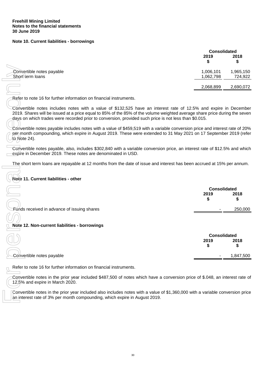#### **Note 10. Current liabilities - borrowings**

|                                               |                        | <b>Consolidated</b>  |  |  |
|-----------------------------------------------|------------------------|----------------------|--|--|
|                                               | 2019                   | 2018<br>\$           |  |  |
| Convertible notes payable<br>Short term loans | 1,006,101<br>1,062,798 | 1,965,150<br>724,922 |  |  |
|                                               | 2,068,899              | 2,690,072            |  |  |
|                                               |                        |                      |  |  |

# **Note 11. Current liabilities - other**

| Convertible notes payable<br>Short term loans                                                                                                                                                                                                                                                                                                           | 1,006,101<br>1,062,798            | 1,965,150<br>724,922 |
|---------------------------------------------------------------------------------------------------------------------------------------------------------------------------------------------------------------------------------------------------------------------------------------------------------------------------------------------------------|-----------------------------------|----------------------|
|                                                                                                                                                                                                                                                                                                                                                         | 2,068,899                         | 2,690,072            |
| Refer to note 16 for further information on financial instruments.                                                                                                                                                                                                                                                                                      |                                   |                      |
| Convertible notes includes notes with a value of \$132,525 have an interest rate of 12.5% and expire in December<br>2019. Shares will be issued at a price equal to 85% of the 85% of the volume weighted average share price during the seven<br>days on which trades were recorded prior to conversion, provided such price is not less than \$0.015. |                                   |                      |
| Convertible notes payable includes notes with a value of \$459,519 with a variable conversion price and interest rate of 20%<br>per month compounding, which expire in August 2019. These were extended to 31 May 2021 on 17 September 2019 (refer<br>to Note 24).                                                                                      |                                   |                      |
| Convertible notes payable, also, includes \$302,840 with a variable conversion price, an interest rate of \$12.5% and which<br>expire in December 2019. These notes are denominated in USD.                                                                                                                                                             |                                   |                      |
| The short term loans are repayable at 12 months from the date of issue and interest has been accrued at 15% per annum.                                                                                                                                                                                                                                  |                                   |                      |
| Note 11. Current liabilities - other                                                                                                                                                                                                                                                                                                                    |                                   |                      |
|                                                                                                                                                                                                                                                                                                                                                         |                                   |                      |
|                                                                                                                                                                                                                                                                                                                                                         | <b>Consolidated</b><br>2019<br>\$ | 2018<br>S            |
| Eunds received in advance of issuing shares                                                                                                                                                                                                                                                                                                             |                                   | 250,000              |
|                                                                                                                                                                                                                                                                                                                                                         |                                   |                      |
| Note 12. Non-current liabilities - borrowings                                                                                                                                                                                                                                                                                                           |                                   |                      |
|                                                                                                                                                                                                                                                                                                                                                         | <b>Consolidated</b><br>2019<br>\$ | 2018<br>S            |
| Convertible notes payable                                                                                                                                                                                                                                                                                                                               |                                   | 1,847,500            |
| Refer to note 16 for further information on financial instruments.                                                                                                                                                                                                                                                                                      |                                   |                      |
| Convertible notes in the prior year included \$487,500 of notes which have a conversion price of \$.048, an interest rate of<br>12,5% and expire in March 2020.                                                                                                                                                                                         |                                   |                      |

| 2018<br>2019                                                        |  |
|---------------------------------------------------------------------|--|
|                                                                     |  |
| -Convertible notes payable<br>1,847,500<br>$\overline{\phantom{a}}$ |  |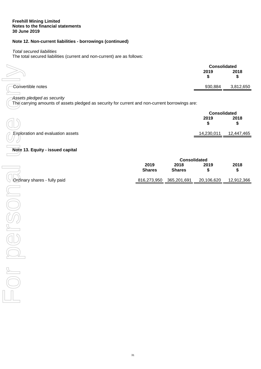# **Note 12. Non-current liabilities - borrowings (continued)**

### *Total secured liabilities*

The total secured liabilities (current and non-current) are as follows:

|                   | <b>Consolidated</b> |           |
|-------------------|---------------------|-----------|
|                   | 2019                | 2018      |
| Convertible notes | 930,884             | 3,812,650 |
|                   |                     |           |

## *Assets pledged as security*

|                                                                                                                              |               |                     | <b>Consolidated</b> |            |
|------------------------------------------------------------------------------------------------------------------------------|---------------|---------------------|---------------------|------------|
|                                                                                                                              |               |                     | 2019                | 2018       |
|                                                                                                                              |               |                     | \$                  | \$         |
| Convertible notes                                                                                                            |               |                     | 930,884             | 3,812,650  |
|                                                                                                                              |               |                     |                     |            |
| Assets pledged as security<br>The carrying amounts of assets pledged as security for current and non-current borrowings are: |               |                     |                     |            |
|                                                                                                                              |               |                     | <b>Consolidated</b> |            |
|                                                                                                                              |               |                     | 2019                | 2018       |
|                                                                                                                              |               |                     | \$                  | \$         |
|                                                                                                                              |               |                     |                     |            |
| <b>Exploration and evaluation assets</b>                                                                                     |               |                     | 14,230,011          | 12,447,465 |
|                                                                                                                              |               |                     |                     |            |
| Note 13. Equity - issued capital                                                                                             |               |                     |                     |            |
|                                                                                                                              |               | <b>Consolidated</b> |                     |            |
|                                                                                                                              | 2019          | 2018                | 2019                | 2018       |
|                                                                                                                              | <b>Shares</b> | <b>Shares</b>       | \$                  | \$         |
| Ordinary shares - fully paid                                                                                                 | 816,273,950   | 365,201,691         | 20,106,620          | 12,912,366 |
|                                                                                                                              |               |                     |                     |            |
|                                                                                                                              |               |                     |                     |            |
|                                                                                                                              |               |                     |                     |            |
|                                                                                                                              |               |                     |                     |            |
|                                                                                                                              |               |                     |                     |            |
|                                                                                                                              |               |                     |                     |            |
|                                                                                                                              |               |                     |                     |            |
|                                                                                                                              |               |                     |                     |            |
|                                                                                                                              |               |                     |                     |            |
|                                                                                                                              |               |                     |                     |            |
|                                                                                                                              |               |                     |                     |            |
|                                                                                                                              |               |                     |                     |            |
|                                                                                                                              |               |                     |                     |            |
|                                                                                                                              |               |                     |                     |            |
|                                                                                                                              |               |                     |                     |            |

# **Note 13. Equity - issued capital**

|                              | <b>Consolidated</b>   |                       |            |            |
|------------------------------|-----------------------|-----------------------|------------|------------|
|                              | 2019<br><b>Shares</b> | 2018<br><b>Shares</b> | 2019       | 2018       |
| Ordinary shares - fully paid | 816,273,950           | 365,201,691           | 20,106,620 | 12,912,366 |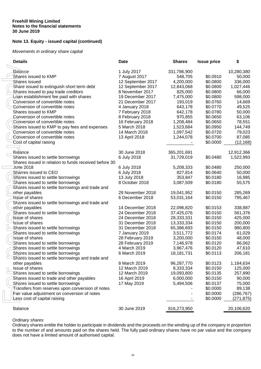# **Note 13. Equity - issued capital (continued)**

#### *Movements in ordinary share capital*

| <b>Details</b>                                        | <b>Date</b>                          | <b>Shares</b> | <b>Issue price</b> | \$               |
|-------------------------------------------------------|--------------------------------------|---------------|--------------------|------------------|
| <b>Balance</b>                                        | 1 July 2017                          | 331,786,900   |                    | 10,280,380       |
| Shares issued to KMP                                  | 7 August 2017                        | 548,705       | \$0.0910           | 50,000           |
| Shares issued                                         | 12 September 2017                    | 4,200,000     | \$0.0800           | 336,000          |
| Share issued to extinguish short term debt            | 12 September 2017                    | 12,843,068    | \$0.0800           | 1,027,446        |
| Shares issued to pay trade creditors                  | 8 November 2017                      | 825,000       | \$0.0800           | 66,000           |
| Loan establishment fee paid with shares               | 19 December 2017                     | 7,475,000     | \$0.0800           | 598,000          |
| Conversion of convertible notes                       | 21 December 2017                     | 193,019       | \$0.0760           | 14,669           |
| Conversion of convertible notes                       | 4 January 2018                       | 643,178       | \$0.0770           | 49,525           |
| Shares issued to KMP                                  | 7 February 2018                      | 642,178       | \$0.0780           | 50,000           |
| Conversion of convertible notes                       | 8 February 2018                      | 970,855       | \$0.0650           | 63,106           |
| Conversion of convertible notes                       | 16 February 2018                     | 1,208,484     | \$0.0650           | 78,551           |
| Shares issued to KMP to pay fees and expenses         | 5 March 2018                         | 1,523,684     | \$0.0950           | 144,749          |
| Conversion of convertible notes                       | 14 March 2018                        | 1,097,542     | \$0.0720           | 79,023           |
| Conversion of convertible notes                       | 13 April 2018                        | 1,244,078     | \$0.0700           | 87,085           |
| Cost of capital raising                               |                                      |               | \$0.0000           | (12, 168)        |
|                                                       |                                      |               |                    |                  |
| Balance                                               | 30 June 2018                         | 365,201,691   |                    | 12,912,366       |
| Shares issued to settle borrowings                    | 6 July 2018                          | 31,729,019    | \$0.0480           | 1,522,993        |
| Shares issued in relation to funds received before 30 |                                      |               |                    |                  |
| <b>June 2018</b>                                      | 6 July 2018                          | 5,208,333     | \$0.0480           | 250,000          |
| Sharres issued to CEO                                 | 6 July 2018                          | 827,814       | \$0.0640           | 50,000           |
| Shares issued to settle borrowings                    | 13 July 2018                         | 353,847       | \$0.0180           | 16,985           |
| Shares issued to settle borrowings                    | 8 October 2018                       | 3,087,509     | \$0.0180           | 55,575           |
| Shares issued to settle borrowings and trade and      |                                      |               |                    |                  |
| other payables                                        | 29 November 2018                     | 19,041,952    | \$0.0150           | 285,269          |
| <b>Issue of shares</b>                                | 6 December 2018                      | 53,031,164    | \$0.0150           | 795,467          |
| Shares issued to settle borrowings and trade and      |                                      |               |                    |                  |
| ether payables                                        | 14 December 2018                     | 22,096,820    | \$0.0153           | 338,887          |
| Shares issued to settle borrowings                    | 24 December 2018                     | 37,425,076    | \$0.0150           | 561,376          |
| Issue of shares                                       | 24 December 2018                     | 28,333,331    | \$0.0150           | 425,000          |
| Issue of shares                                       | 31 December 2018                     | 13,333,334    | \$0.0150           | 200,000          |
| Shares issued to settle borrowings                    | 31 December 2018                     | 65,386,693    | \$0.0150           | 980,800          |
| Shares issued to settle borrowings                    | 7 January 2019                       | 3,511,772     | \$0.0174           | 61,029           |
| Issue of shares                                       |                                      | 3,200,000     | \$0.0150           |                  |
| Shares issued to settle borrowings                    | 28 February 2019<br>28 February 2019 | 7,146,978     | \$0.0120           | 48,000<br>86,062 |
|                                                       | 4 March 2019                         |               | \$0.0120           | 47,610           |
| Shares issued to settle borrowings                    |                                      | 3,967,476     | \$0.0113           |                  |
| Shares issued to settle borrowings                    | 6 March 2019                         | 18,181,731    |                    | 206,181          |
| Shares issued to settle borrowings and trade and      |                                      |               |                    |                  |
| other payables                                        | 8 March 2019<br>12 March 2019        | 96,287,770    | \$0.0123           | 1,184,634        |
| Issue of shares                                       |                                      | 8,333,334     | \$0.0150           | 125,000          |
| Shares issued to settle borrowings                    | 12 March 2019                        | 19,093,800    | \$0.0135           | 257,890          |
| Shares issued to trade and other payables             | 16 April 2019                        | 6,000,000     | \$0.0150           | 90,000           |
| Shares issued to settle borrowings                    | 17 May 2019                          | 5,494,506     | \$0.0137           | 75,000           |
| Transfers from reserves upon conversion of notes      |                                      |               | \$0.0000           | 89,138           |
| Fair value adjustment on conversion of notes          |                                      |               | \$0.0000           | (286, 767)       |
|                                                       |                                      |               | \$0.0000           | (271, 875)       |
| Less cost of capital raising                          |                                      |               |                    |                  |

## *Ordinary shares*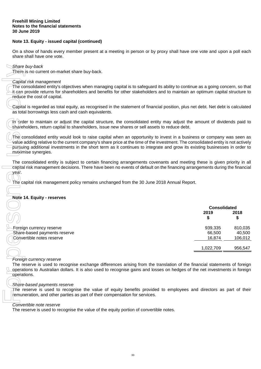## **Note 13. Equity - issued capital (continued)**

On a show of hands every member present at a meeting in person or by proxy shall have one vote and upon a poll each share shall have one vote.

## *Share buy-back*

#### *Capital risk management*

## **Note 14. Equity - reserves**

| Share buy-back<br>There is no current on-market share buy-back.                                                                                                                                                                                                                                                                                                                                                   |                             |         |
|-------------------------------------------------------------------------------------------------------------------------------------------------------------------------------------------------------------------------------------------------------------------------------------------------------------------------------------------------------------------------------------------------------------------|-----------------------------|---------|
|                                                                                                                                                                                                                                                                                                                                                                                                                   |                             |         |
| Capital risk management<br>The consolidated entity's objectives when managing capital is to safeguard its ability to continue as a going concern, so that<br>it can provide returns for shareholders and benefits for other stakeholders and to maintain an optimum capital structure to<br>reduce the cost of capital.                                                                                           |                             |         |
| Capital is regarded as total equity, as recognised in the statement of financial position, plus net debt. Net debt is calculated<br>as total borrowings less cash and cash equivalents.                                                                                                                                                                                                                           |                             |         |
| In order to maintain or adjust the capital structure, the consolidated entity may adjust the amount of dividends paid to<br>shareholders, return capital to shareholders, issue new shares or sell assets to reduce debt.                                                                                                                                                                                         |                             |         |
| The consolidated entity would look to raise capital when an opportunity to invest in a business or company was seen as<br>value adding relative to the current company's share price at the time of the investment. The consolidated entity is not actively<br>pursuing additional investments in the short term as it continues to integrate and grow its existing businesses in order to<br>maximise synergies. |                             |         |
| The consolidated entity is subject to certain financing arrangements covenants and meeting these is given priority in all<br>capital risk management decisions. There have been no events of default on the financing arrangements during the financial<br>year.                                                                                                                                                  |                             |         |
| The capital risk management policy remains unchanged from the 30 June 2018 Annual Report.                                                                                                                                                                                                                                                                                                                         |                             |         |
| <b>Note 14. Equity - reserves</b>                                                                                                                                                                                                                                                                                                                                                                                 |                             |         |
|                                                                                                                                                                                                                                                                                                                                                                                                                   |                             |         |
|                                                                                                                                                                                                                                                                                                                                                                                                                   | <b>Consolidated</b><br>2019 | 2018    |
|                                                                                                                                                                                                                                                                                                                                                                                                                   | S                           | \$      |
| Foreign currency reserve                                                                                                                                                                                                                                                                                                                                                                                          | 939,335                     | 810,035 |
| Share-based payments reserve                                                                                                                                                                                                                                                                                                                                                                                      | 66,500                      | 40,500  |
| Convertible notes reserve                                                                                                                                                                                                                                                                                                                                                                                         | 16,874                      | 106,012 |
|                                                                                                                                                                                                                                                                                                                                                                                                                   | 1,022,709                   | 956,547 |
| Foreign currency reserve                                                                                                                                                                                                                                                                                                                                                                                          |                             |         |
| The reserve is used to recognise exchange differences arising from the translation of the financial statements of foreign                                                                                                                                                                                                                                                                                         |                             |         |
| operations to Australian dollars. It is also used to recognise gains and losses on hedges of the net investments in foreign                                                                                                                                                                                                                                                                                       |                             |         |
| operations.                                                                                                                                                                                                                                                                                                                                                                                                       |                             |         |
| Share-based payments reserve                                                                                                                                                                                                                                                                                                                                                                                      |                             |         |
| The reserve is used to recognise the value of equity benefits provided to employees and directors as part of their                                                                                                                                                                                                                                                                                                |                             |         |
| remuneration, and other parties as part of their compensation for services.                                                                                                                                                                                                                                                                                                                                       |                             |         |
| Convertible note reserve                                                                                                                                                                                                                                                                                                                                                                                          |                             |         |
| The reserve is used to recognise the value of the equity portion of convertible notes.                                                                                                                                                                                                                                                                                                                            |                             |         |

#### *Foreign currency reserve*

#### *Share-based payments reserve*

#### *Convertible note reserve*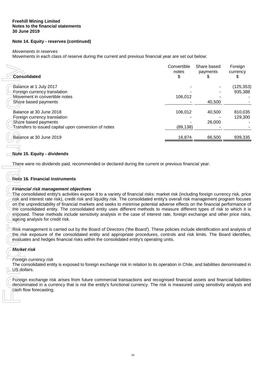# **Note 14. Equity - reserves (continued)**

#### *Movements in reserves*

Movements in each class of reserve during the current and previous financial year are set out below:

| <b>Consolidated</b>                                                                                                                                                                                                                                                                                                                                                                                                                                                                                                                                                                                                            | Convertible<br>notes<br>\$ | Share based<br>payments<br>22 | Foreign<br>currency<br>SБ |
|--------------------------------------------------------------------------------------------------------------------------------------------------------------------------------------------------------------------------------------------------------------------------------------------------------------------------------------------------------------------------------------------------------------------------------------------------------------------------------------------------------------------------------------------------------------------------------------------------------------------------------|----------------------------|-------------------------------|---------------------------|
| Balance at 1 July 2017<br>Foreign currency translation<br>Movement in convertible notes<br>Share based payments                                                                                                                                                                                                                                                                                                                                                                                                                                                                                                                | 106,012                    | 40,500                        | (125, 353)<br>935,388     |
| Balance at 30 June 2018<br>Foreign currency translation<br>Share based payments<br>Transfers to issued capital upon conversion of notes                                                                                                                                                                                                                                                                                                                                                                                                                                                                                        | 106,012<br>(89, 138)       | 40,500<br>26,000              | 810,035<br>129,300        |
| Balance at 30 June 2019                                                                                                                                                                                                                                                                                                                                                                                                                                                                                                                                                                                                        | 16,874                     | 66,500                        | 939,335                   |
| Note 15. Equity - dividends<br>There were no dividends paid, recommended or declared during the current or previous financial year.<br>Note 16. Financial instruments<br><b>Financial risk management objectives</b><br>The consolidated entity's activities expose it to a variety of financial risks: market risk (including foreign currency risk, price<br>risk and interest rate risk), credit risk and liquidity risk. The consolidated entity's overall risk management program focuses<br>on the unpredictability of financial markets and seeks to minimise potential adverse effects on the financial performance of |                            |                               |                           |
| the consolidated entity. The consolidated entity uses different methods to measure different types of risk to which it is<br>exposed. These methods include sensitivity analysis in the case of interest rate, foreign exchange and other price risks,<br>ageing analysis for credit risk.                                                                                                                                                                                                                                                                                                                                     |                            |                               |                           |
| Risk management is carried out by the Board of Directors ('the Board'). These policies include identification and analysis of<br>the risk exposure of the consolidated entity and appropriate procedures, controls and risk limits. The Board identifies,<br>evaluates and hedges financial risks within the consolidated entity's operating units.                                                                                                                                                                                                                                                                            |                            |                               |                           |
| <b>Market risk</b><br>Foreign currency risk                                                                                                                                                                                                                                                                                                                                                                                                                                                                                                                                                                                    |                            |                               |                           |
| The consolidated entity is exposed to foreign exchange risk in relation to its operation in Chile, and liabilities denominated in<br>US dollars.                                                                                                                                                                                                                                                                                                                                                                                                                                                                               |                            |                               |                           |
| Foreign exchange risk arises from future commercial transactions and recognised financial assets and financial liabilities<br>denominated in a currency that is not the entity's functional currency. The risk is measured using sensitivity analysis and<br>cash flow forecasting.                                                                                                                                                                                                                                                                                                                                            |                            |                               |                           |

## **Note 15. Equity - dividends**

# **Note 16. Financial instruments**

## *Financial risk management objectives*

# *Market risk*

## *Foreign currency risk*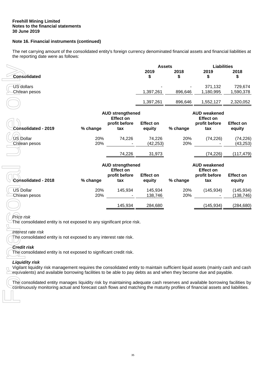# **Note 16. Financial instruments (continued)**

The net carrying amount of the consolidated entity's foreign currency denominated financial assets and financial liabilities at the reporting date were as follows:

|                             | <b>Assets</b> |            |                      | <b>Liabilities</b>   |  |
|-----------------------------|---------------|------------|----------------------|----------------------|--|
| <b>Consolidated</b>         | 2019          | 2018<br>\$ | 2019                 | 2018<br>\$           |  |
| US dollars<br>Chilean pesos | 1,397,261     | 896,646    | 371,132<br>1,180,995 | 729,674<br>1,590,378 |  |
|                             | 1,397,261     | 896.646    | ,552,127             | 2,320,052            |  |

|                                                                                                                                                                                                                                                                                                                                                                                                                                                                                                                                                                                                                                                                                                                                                                                                                           |            |                                                                     | <b>Assets</b>              |            | Liabilities                                                     |                          |
|---------------------------------------------------------------------------------------------------------------------------------------------------------------------------------------------------------------------------------------------------------------------------------------------------------------------------------------------------------------------------------------------------------------------------------------------------------------------------------------------------------------------------------------------------------------------------------------------------------------------------------------------------------------------------------------------------------------------------------------------------------------------------------------------------------------------------|------------|---------------------------------------------------------------------|----------------------------|------------|-----------------------------------------------------------------|--------------------------|
| <b>Consolidated</b>                                                                                                                                                                                                                                                                                                                                                                                                                                                                                                                                                                                                                                                                                                                                                                                                       |            |                                                                     | 2019<br>\$                 | 2018<br>\$ | 2019<br>\$                                                      | 2018<br>\$               |
| US dollars<br>Chilean pesos                                                                                                                                                                                                                                                                                                                                                                                                                                                                                                                                                                                                                                                                                                                                                                                               |            |                                                                     | 1,397,261                  | 896,646    | 371,132<br>1,180,995                                            | 729,674<br>1,590,378     |
|                                                                                                                                                                                                                                                                                                                                                                                                                                                                                                                                                                                                                                                                                                                                                                                                                           |            |                                                                     | 1,397,261                  | 896,646    | 1,552,127                                                       | 2,320,052                |
| Consolidated - 2019                                                                                                                                                                                                                                                                                                                                                                                                                                                                                                                                                                                                                                                                                                                                                                                                       | % change   | <b>AUD strengthened</b><br><b>Effect on</b><br>profit before<br>tax | <b>Effect on</b><br>equity | % change   | <b>AUD weakened</b><br><b>Effect on</b><br>profit before<br>tax | Effect on<br>equity      |
| US Dollar<br>Chilean pesos                                                                                                                                                                                                                                                                                                                                                                                                                                                                                                                                                                                                                                                                                                                                                                                                | 20%<br>20% | 74,226                                                              | 74,226<br>(42, 253)        | 20%<br>20% | (74, 226)                                                       | (74, 226)<br>(43, 253)   |
|                                                                                                                                                                                                                                                                                                                                                                                                                                                                                                                                                                                                                                                                                                                                                                                                                           |            | 74,226                                                              | 31,973                     |            | (74, 226)                                                       | (117, 479)               |
| Consolidated - 2018                                                                                                                                                                                                                                                                                                                                                                                                                                                                                                                                                                                                                                                                                                                                                                                                       | % change   | <b>AUD strengthened</b><br><b>Effect on</b><br>profit before<br>tax | <b>Effect on</b><br>equity | % change   | <b>AUD weakened</b><br><b>Effect on</b><br>profit before<br>tax | Effect on<br>equity      |
| <b>US Dollar</b><br>Chilean pesos                                                                                                                                                                                                                                                                                                                                                                                                                                                                                                                                                                                                                                                                                                                                                                                         | 20%<br>20% | 145,934<br>$\sim 10^{11}$ m $^{-1}$                                 | 145,934<br>138,746         | 20%<br>20% | (145, 934)                                                      | (145, 934)<br>(138, 746) |
|                                                                                                                                                                                                                                                                                                                                                                                                                                                                                                                                                                                                                                                                                                                                                                                                                           |            | 145,934                                                             | 284,680                    |            | (145, 934)                                                      | (284, 680)               |
| Price risk<br>The consolidated entity is not exposed to any significant price risk.<br>Interest rate risk<br>The consolidated entity is not exposed to any interest rate risk.<br><b>Credit risk</b><br>The consolidated entity is not exposed to significant credit risk.<br><b>Liquidity risk</b><br>Vigilant liquidity risk management requires the consolidated entity to maintain sufficient liquid assets (mainly cash and cash<br>equivalents) and available borrowing facilities to be able to pay debts as and when they become due and payable.<br>The consolidated entity manages liquidity risk by maintaining adequate cash reserves and available borrowing facilities by<br>continuously monitoring actual and forecast cash flows and matching the maturity profiles of financial assets and liabilities. |            |                                                                     |                            |            |                                                                 |                          |
|                                                                                                                                                                                                                                                                                                                                                                                                                                                                                                                                                                                                                                                                                                                                                                                                                           |            |                                                                     |                            |            |                                                                 |                          |

# *Price risk*

## *Interest rate risk*

# *Credit risk*

## *Liquidity risk*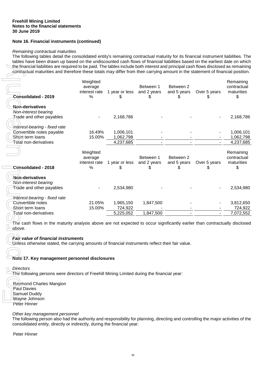## **Note 16. Financial instruments (continued)**

#### *Remaining contractual maturities*

The following tables detail the consolidated entity's remaining contractual maturity for its financial instrument liabilities. The tables have been drawn up based on the undiscounted cash flows of financial liabilities based on the earliest date on which the financial liabilities are required to be paid. The tables include both interest and principal cash flows disclosed as remaining contractual maturities and therefore these totals may differ from their carrying amount in the statement of financial position.

|                                                                                                                                    | Weighted<br>average |                        | Between 1   | Between 2   |              | Remaining<br>contractual |
|------------------------------------------------------------------------------------------------------------------------------------|---------------------|------------------------|-------------|-------------|--------------|--------------------------|
| Consolidated - 2019                                                                                                                | interest rate<br>%  | 1 year or less<br>S    | and 2 years | and 5 years | Over 5 years | maturities               |
| Non-derivatives                                                                                                                    |                     |                        |             |             |              |                          |
| Non-interest bearing                                                                                                               |                     |                        |             |             |              |                          |
| Trade and other payables                                                                                                           |                     | 2,168,786              |             |             |              | 2,168,786                |
|                                                                                                                                    |                     |                        |             |             |              |                          |
| Interest-bearing - fixed rate                                                                                                      |                     |                        |             |             |              |                          |
| Convertible notes payable                                                                                                          | 16.49%              | 1,006,101              |             |             |              | 1,006,101                |
| Short term loans<br>Total non-derivatives                                                                                          | 15.00%              | 1,062,798<br>4,237,685 |             |             |              | 1,062,798<br>4,237,685   |
|                                                                                                                                    |                     |                        |             |             |              |                          |
|                                                                                                                                    | Weighted            |                        |             |             |              | Remaining                |
|                                                                                                                                    | average             |                        | Between 1   | Between 2   |              | contractual              |
|                                                                                                                                    | interest rate       | 1 year or less         | and 2 years | and 5 years | Over 5 years | maturities               |
| <b>Consolidated - 2018</b>                                                                                                         | %                   | S                      |             |             |              | \$.                      |
| Non-derivatives                                                                                                                    |                     |                        |             |             |              |                          |
| Non-interest bearing                                                                                                               |                     |                        |             |             |              |                          |
| <b>Trade and other payables</b>                                                                                                    |                     | 2,534,980              |             |             |              | 2,534,980                |
|                                                                                                                                    |                     |                        |             |             |              |                          |
| Interest-bearing - fixed rate                                                                                                      |                     |                        |             |             |              |                          |
| Convertible notes                                                                                                                  | 21.05%              | 1,965,150              | 1,847,500   |             |              | 3,812,650                |
| Short term loans                                                                                                                   | 15.00%              | 724,922                |             |             |              | 724,922                  |
| Total non-derivatives                                                                                                              |                     | 5,225,052              | 1,847,500   |             |              | 7,072,552                |
|                                                                                                                                    |                     |                        |             |             |              |                          |
| The cash flows in the maturity analysis above are not expected to occur significantly earlier than contractually disclosed         |                     |                        |             |             |              |                          |
| above.                                                                                                                             |                     |                        |             |             |              |                          |
| Fair value of financial instruments                                                                                                |                     |                        |             |             |              |                          |
| Unless otherwise stated, the carrying amounts of financial instruments reflect their fair value.                                   |                     |                        |             |             |              |                          |
|                                                                                                                                    |                     |                        |             |             |              |                          |
|                                                                                                                                    |                     |                        |             |             |              |                          |
| Note 17. Key management personnel disclosures                                                                                      |                     |                        |             |             |              |                          |
|                                                                                                                                    |                     |                        |             |             |              |                          |
| <b>Directors</b><br>The following persons were directors of Freehill Mining Limited during the financial year:                     |                     |                        |             |             |              |                          |
|                                                                                                                                    |                     |                        |             |             |              |                          |
| Raymond Charles Mangion                                                                                                            |                     |                        |             |             |              |                          |
| Paul Davies                                                                                                                        |                     |                        |             |             |              |                          |
| Samuel Duddy                                                                                                                       |                     |                        |             |             |              |                          |
| Wayne Johnson                                                                                                                      |                     |                        |             |             |              |                          |
| Peter Hinner                                                                                                                       |                     |                        |             |             |              |                          |
| Other key management personnel                                                                                                     |                     |                        |             |             |              |                          |
| The following person also had the authority and responsibility for planning, directing and controlling the major activities of the |                     |                        |             |             |              |                          |
| consolidated entity, directly or indirectly, during the financial year:                                                            |                     |                        |             |             |              |                          |
| Peter Hinner                                                                                                                       |                     |                        |             |             |              |                          |

#### *Fair value of financial instruments*

## **Note 17. Key management personnel disclosures**

#### *Other key management personnel*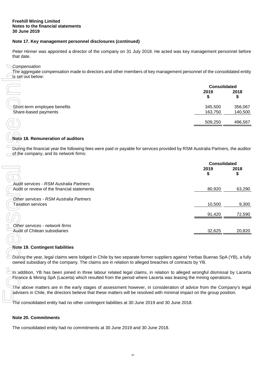## **Note 17. Key management personnel disclosures (continued)**

Peter Hinner was appointed a director of the company on 31 July 2018. He acted was key management personnel before that date.

#### *Compensation*

|                                                      | <b>Consolidated</b> |                    |  |
|------------------------------------------------------|---------------------|--------------------|--|
|                                                      | 2019                | 2018<br>⊕          |  |
| Short-term employee benefits<br>Share-based payments | 345,500<br>163,750  | 356,067<br>140,500 |  |
|                                                      | 509,250             | 496,567            |  |

## **Note 18. Remuneration of auditors**

| Compensation<br>The aggregate compensation made to directors and other members of key management personnel of the consolidated entity<br>is set out below:                                                                                      |                     |                    |
|-------------------------------------------------------------------------------------------------------------------------------------------------------------------------------------------------------------------------------------------------|---------------------|--------------------|
|                                                                                                                                                                                                                                                 | <b>Consolidated</b> |                    |
|                                                                                                                                                                                                                                                 | 2019                | 2018               |
|                                                                                                                                                                                                                                                 | \$                  | \$                 |
|                                                                                                                                                                                                                                                 |                     |                    |
| Short-term employee benefits<br>Share-based payments                                                                                                                                                                                            | 345,500<br>163,750  | 356,067<br>140,500 |
|                                                                                                                                                                                                                                                 |                     |                    |
|                                                                                                                                                                                                                                                 | 509,250             | 496,567            |
| Note 18. Remuneration of auditors                                                                                                                                                                                                               |                     |                    |
| During the financial year the following fees were paid or payable for services provided by RSM Australia Partners, the auditor<br>of the company, and its network firms:                                                                        |                     |                    |
|                                                                                                                                                                                                                                                 | <b>Consolidated</b> |                    |
|                                                                                                                                                                                                                                                 | 2019                | 2018               |
|                                                                                                                                                                                                                                                 | \$                  | \$                 |
|                                                                                                                                                                                                                                                 |                     |                    |
| <b>Audit services - RSM Australia Partners</b><br>Audit or review of the financial statements                                                                                                                                                   | 80,920              | 63,290             |
|                                                                                                                                                                                                                                                 |                     |                    |
| Other services - RSM Australia Partners                                                                                                                                                                                                         |                     |                    |
| Taxation services                                                                                                                                                                                                                               | 10,500              | 9,300              |
|                                                                                                                                                                                                                                                 |                     |                    |
|                                                                                                                                                                                                                                                 | 91,420              | 72,590             |
|                                                                                                                                                                                                                                                 |                     |                    |
| Other services - network firms<br>Audit of Chilean subsidiaries                                                                                                                                                                                 | 32,625              | 20,820             |
|                                                                                                                                                                                                                                                 |                     |                    |
|                                                                                                                                                                                                                                                 |                     |                    |
| <b>Note 19. Contingent liabilities</b>                                                                                                                                                                                                          |                     |                    |
| Dúring the year, legal claims were lodged in Chile by two separate former suppliers against Yerbas Buenas SpA (YB), a fully<br>owned subsidiary of the company. The claims are in relation to alleged breaches of contracts by YB.              |                     |                    |
|                                                                                                                                                                                                                                                 |                     |                    |
| in addition, YB has been joined in three labour related legal claims, in relation to alleged wrongful dismissal by Lacerta<br>Finance & Mining SpA (Lacerta) which resulted from the period where Lacerta was leasing the mining operations.    |                     |                    |
| The above matters are in the early stages of assessment however, in consideration of advice from the Company's legal<br>advisers in Chile, the directors believe that these matters will be resolved with minimal impact on the group position. |                     |                    |
| The consolidated entity had no other contingent liabilities at 30 June 2019 and 30 June 2018.                                                                                                                                                   |                     |                    |
| <b>Note 20. Commitments</b>                                                                                                                                                                                                                     |                     |                    |
| The consolidated entity had no commitments at 30 June 2019 and 30 June 2018.                                                                                                                                                                    |                     |                    |

## **Note 19. Contingent liabilities**

## **Note 20. Commitments**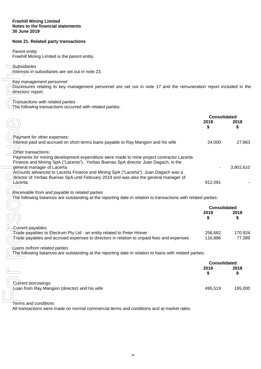# **Note 21. Related party transactions**

#### *Parent entity*

Freehill Mining Limited is the parent entity.

*Subsidiaries* 

#### *Key management personnel*

| Subsidiaries<br>Interests in subsidiaries are set out in note 23.                                                                                                                                     |                     |                   |
|-------------------------------------------------------------------------------------------------------------------------------------------------------------------------------------------------------|---------------------|-------------------|
| Key management personnel<br>Disclosures relating to key management personnel are set out in note 17 and the remuneration report included in the<br>directors' report.                                 |                     |                   |
| Transactions with related parties                                                                                                                                                                     |                     |                   |
| The following transactions occurred with related parties:                                                                                                                                             |                     |                   |
|                                                                                                                                                                                                       | <b>Consolidated</b> |                   |
|                                                                                                                                                                                                       | 2019<br>\$          | 2018<br>\$        |
| Payment for other expenses:<br>Interest paid and accrued on short terms loans payable to Ray Mangion and his wife                                                                                     | 24,000              | 27,963            |
| Other transactions:<br>Payments for mining development expenditure were made to mine project contractor Lacerta<br>Finance and Mining SpA ("Lacerta"). Yerbas Buenas SpA director Juan Dagach, is the |                     |                   |
| general manager of Lacerta.<br>Amounts advanced to Lacerta Finance and Mining SpA ("Lacerta"). Juan Dagach was a                                                                                      |                     | 3,902,610         |
| director of Yerbas Buenas SpA until February 2019 and was also the general manager of<br>Lacerta.                                                                                                     | 912,091             |                   |
| Receivable from and payable to related parties<br>The following balances are outstanding at the reporting date in relation to transactions with related parties:                                      |                     |                   |
|                                                                                                                                                                                                       | <b>Consolidated</b> |                   |
|                                                                                                                                                                                                       | 2019                | 2018              |
|                                                                                                                                                                                                       | S                   | S                 |
| Current payables:                                                                                                                                                                                     |                     |                   |
| Trade payables to Electrum Pty Ltd - an entity related to Peter Hinner<br>Trade payables and accrued expenses to directors in relation to unpaid fees and expenses                                    | 256,682<br>116,886  | 170,924<br>77,389 |
| Loans to/from related parties                                                                                                                                                                         |                     |                   |
| The following balances are outstanding at the reporting date in relation to loans with related parties:                                                                                               |                     |                   |
|                                                                                                                                                                                                       | <b>Consolidated</b> |                   |
|                                                                                                                                                                                                       | 2019<br>\$          | 2018<br>\$        |
|                                                                                                                                                                                                       |                     |                   |
| Current borrowings:<br>Loan from Ray Mangion (director) and his wife                                                                                                                                  | 495,519             | 195,000           |
|                                                                                                                                                                                                       |                     |                   |
| <b>Terms and conditions</b>                                                                                                                                                                           |                     |                   |
| All transactions were made on normal commercial terms and conditions and at market rates.                                                                                                             |                     |                   |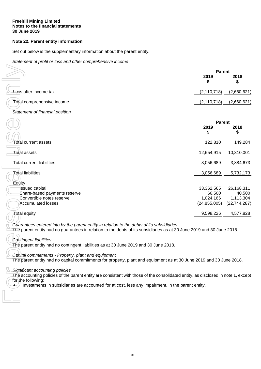# **Note 22. Parent entity information**

Set out below is the supplementary information about the parent entity.

*Statement of profit or loss and other comprehensive income* 

|                                                                                                                                                                                                                                                                                                                                                                                                                                                                                                                    | <b>Parent</b><br>2019<br>\$                         | 2018<br>\$                                          |
|--------------------------------------------------------------------------------------------------------------------------------------------------------------------------------------------------------------------------------------------------------------------------------------------------------------------------------------------------------------------------------------------------------------------------------------------------------------------------------------------------------------------|-----------------------------------------------------|-----------------------------------------------------|
| oss after income tax                                                                                                                                                                                                                                                                                                                                                                                                                                                                                               | (2, 110, 718)                                       | (2,660,621)                                         |
| Total comprehensive income                                                                                                                                                                                                                                                                                                                                                                                                                                                                                         | (2, 110, 718)                                       | (2,660,621)                                         |
| Statement of financial position                                                                                                                                                                                                                                                                                                                                                                                                                                                                                    |                                                     |                                                     |
|                                                                                                                                                                                                                                                                                                                                                                                                                                                                                                                    | <b>Parent</b><br>2019<br>\$                         | 2018<br>\$                                          |
| Total current assets                                                                                                                                                                                                                                                                                                                                                                                                                                                                                               | 122,810                                             | 149,284                                             |
| Total assets                                                                                                                                                                                                                                                                                                                                                                                                                                                                                                       | 12,654,915                                          | 10,310,001                                          |
| <b>Total current liabilities</b>                                                                                                                                                                                                                                                                                                                                                                                                                                                                                   | 3,056,689                                           | 3,884,673                                           |
| <b>Total liabilities</b>                                                                                                                                                                                                                                                                                                                                                                                                                                                                                           | 3,056,689                                           | 5,732,173                                           |
| Equity<br><b>Issued capital</b><br>Share-based payments reserve<br>Convertible notes reserve<br><b>Accumulated losses</b>                                                                                                                                                                                                                                                                                                                                                                                          | 33,362,565<br>66,500<br>1,024,166<br>(24, 855, 005) | 26,168,311<br>40,500<br>1,113,304<br>(22, 744, 287) |
| 7otal equity                                                                                                                                                                                                                                                                                                                                                                                                                                                                                                       | 9,598,226                                           | 4,577,828                                           |
| Guarantees entered into by the parent entity in relation to the debts of its subsidiaries<br>The parent entity had no guarantees in relation to the debts of its subsidiaries as at 30 June 2019 and 30 June 2018.<br>Contingent liabilities<br>The parent entity had no contingent liabilities as at 30 June 2019 and 30 June 2018.<br>Capital commitments - Property, plant and equipment<br>The parent entity had no capital commitments for property, plant and equipment as at 30 June 2019 and 30 June 2018. |                                                     |                                                     |
| Significant accounting policies<br>The accounting policies of the parent entity are consistent with those of the consolidated entity, as disclosed in note 1, except<br>for the following:<br>Investments in subsidiaries are accounted for at cost, less any impairment, in the parent entity.                                                                                                                                                                                                                    |                                                     |                                                     |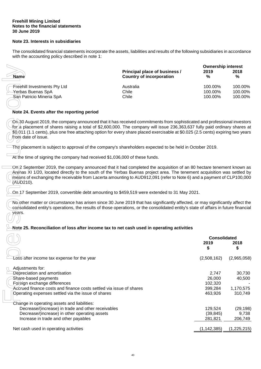## **Note 23. Interests in subsidiaries**

The consolidated financial statements incorporate the assets, liabilities and results of the following subsidiaries in accordance with the accounting policy described in note 1:

|                              |                                                                         | <b>Ownership interest</b> |           |
|------------------------------|-------------------------------------------------------------------------|---------------------------|-----------|
| <b>Name</b>                  | <b>Principal place of business /</b><br><b>Country of incorporation</b> | 2019<br>%                 | 2018<br>% |
| Freehill Investments Pty Ltd | Australia                                                               | 100.00%                   | 100.00%   |
| Yerbas Buenas SpA            | Chile                                                                   | 100.00%                   | 100.00%   |
| San Patricio Mineria SpA     | Chile                                                                   | 100.00%                   | 100.00%   |

# **Note 24. Events after the reporting period**

## **Note 25. Reconciliation of loss after income tax to net cash used in operating activities**

|                                                                                                                                                                                                                                                                                                                                                                                                                  |                                                                  | <b>Ownership interest</b> |             |
|------------------------------------------------------------------------------------------------------------------------------------------------------------------------------------------------------------------------------------------------------------------------------------------------------------------------------------------------------------------------------------------------------------------|------------------------------------------------------------------|---------------------------|-------------|
| <b>Name</b>                                                                                                                                                                                                                                                                                                                                                                                                      | Principal place of business /<br><b>Country of incorporation</b> | 2019<br>%                 | 2018<br>%   |
| Freehill Investments Pty Ltd                                                                                                                                                                                                                                                                                                                                                                                     | Australia                                                        | 100.00%                   | 100.00%     |
| Yerbas Buenas SpA                                                                                                                                                                                                                                                                                                                                                                                                | Chile                                                            | 100.00%                   | 100.00%     |
| San Patricio Mineria SpA                                                                                                                                                                                                                                                                                                                                                                                         | Chile                                                            | 100.00%                   | 100.00%     |
|                                                                                                                                                                                                                                                                                                                                                                                                                  |                                                                  |                           |             |
|                                                                                                                                                                                                                                                                                                                                                                                                                  |                                                                  |                           |             |
| Note 24. Events after the reporting period                                                                                                                                                                                                                                                                                                                                                                       |                                                                  |                           |             |
| On 30 August 2019, the company announced that it has received commitments from sophisticated and professional investors<br>for a placement of shares raising a total of \$2,600,000. The company will issue 236,363,637 fully paid ordinary shares at<br>\$0.011 (1.1 cents), plus one free attaching option for every share placed exercisable at \$0.025 (2.5 cents) expiring two years<br>from date of issue. |                                                                  |                           |             |
| The placement is subject to approval of the company's shareholders expected to be held in October 2019.                                                                                                                                                                                                                                                                                                          |                                                                  |                           |             |
| At the time of signing the company had received \$1,036,000 of these funds.                                                                                                                                                                                                                                                                                                                                      |                                                                  |                           |             |
| On 2 September 2019, the company announced that it had completed the acquisition of an 80 hectare tenement known as<br>Arenas XI 1/20, located directly to the south of the Yerbas Buenas project area. The tenement acquisition was settled by<br>means of exchanging the receivable from Lacerta amounting to AUD912,091 (refer to Note 6) and a payment of CLP100,000<br>(AUD210).                            |                                                                  |                           |             |
| On 17 September 2019, convertible debt amounting to \$459,519 were extended to 31 May 2021.                                                                                                                                                                                                                                                                                                                      |                                                                  |                           |             |
| No other matter or circumstance has arisen since 30 June 2019 that has significantly affected, or may significantly affect the<br>consolidated entity's operations, the results of those operations, or the consolidated entity's state of affairs in future financial<br>years.                                                                                                                                 |                                                                  |                           |             |
| Note 25. Reconciliation of loss after income tax to net cash used in operating activities                                                                                                                                                                                                                                                                                                                        |                                                                  |                           |             |
|                                                                                                                                                                                                                                                                                                                                                                                                                  |                                                                  | <b>Consolidated</b>       |             |
|                                                                                                                                                                                                                                                                                                                                                                                                                  |                                                                  | 2019                      | 2018        |
|                                                                                                                                                                                                                                                                                                                                                                                                                  |                                                                  | \$                        | \$          |
|                                                                                                                                                                                                                                                                                                                                                                                                                  |                                                                  |                           |             |
| Loss after income tax expense for the year                                                                                                                                                                                                                                                                                                                                                                       |                                                                  | (2,508,162)               | (2,965,058) |
| Adjustments for:                                                                                                                                                                                                                                                                                                                                                                                                 |                                                                  |                           |             |
| Depreciation and amortisation                                                                                                                                                                                                                                                                                                                                                                                    |                                                                  | 2,747                     | 30,730      |
| Share-based payments                                                                                                                                                                                                                                                                                                                                                                                             |                                                                  | 26,000                    | 40,500      |
| Foreign exchange differences                                                                                                                                                                                                                                                                                                                                                                                     |                                                                  | 102,320                   |             |
| Accrued finance costs and finance costs settled via issue of shares                                                                                                                                                                                                                                                                                                                                              |                                                                  | 399,284                   | 1,170,575   |
| Operating expenses settled via the issue of shares                                                                                                                                                                                                                                                                                                                                                               |                                                                  | 463,926                   | 310,749     |
| Change in operating assets and liabilities:                                                                                                                                                                                                                                                                                                                                                                      |                                                                  |                           |             |
| Decrease/(increase) in trade and other receivables                                                                                                                                                                                                                                                                                                                                                               |                                                                  | 129,524                   | (29, 198)   |
| Decrease/(increase) in other operating assets                                                                                                                                                                                                                                                                                                                                                                    |                                                                  | (39, 845)                 | 9,738       |
| Increase in trade and other payables                                                                                                                                                                                                                                                                                                                                                                             |                                                                  | 281,821                   | 206,749     |
| Net cash used in operating activities                                                                                                                                                                                                                                                                                                                                                                            |                                                                  | (1, 142, 385)             | (1,225,215) |
|                                                                                                                                                                                                                                                                                                                                                                                                                  |                                                                  |                           |             |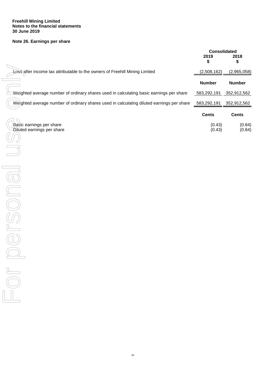# **Note 26. Earnings per share**

|                                                                                           | <b>Consolidated</b><br>2019<br>\$ | 2018<br>\$       |
|-------------------------------------------------------------------------------------------|-----------------------------------|------------------|
| Loss after income tax attributable to the owners of Freehill Mining Limited               | (2,508,162)                       | (2,965,058)      |
|                                                                                           | <b>Number</b>                     | <b>Number</b>    |
| Weighted average number of ordinary shares used in calculating basic earnings per share   | 583,292,191                       | 352,912,562      |
| Weighted average number of ordinary shares used in calculating diluted earnings per share | 583,292,191                       | 352,912,562      |
|                                                                                           | <b>Cents</b>                      | <b>Cents</b>     |
| Basic earnings per share<br>Diluted earnings per share                                    | (0.43)<br>(0.43)                  | (0.84)<br>(0.84) |
| $\frac{1}{\sqrt{2}}$                                                                      |                                   |                  |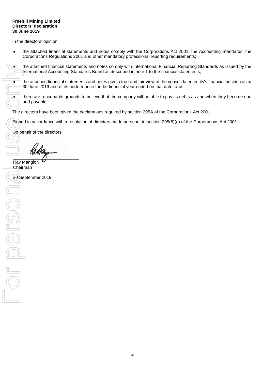#### **Freehill Mining Limited Directors' declaration 30 June 2019**

In the directors' opinion:

- the attached financial statements and notes comply with the Corporations Act 2001, the Accounting Standards, the Corporations Regulations 2001 and other mandatory professional reporting requirements;
- the attached financial statements and notes comply with International Financial Reporting Standards as issued by the International Accounting Standards Board as described in note 1 to the financial statements;

the attached financial statements and notes give a true and fair view of the consolidated entity's financial position as at 30 June 2019 and of its performance for the financial year ended on that date; and

there are reasonable grounds to believe that the company will be able to pay its debts as and when they become due and payable.

The directors have been given the declarations required by section 295A of the Corporations Act 2001.

Signed in accordance with a resolution of directors made pursuant to section 295(5)(a) of the Corporations Act 2001.

On behalf of the directors

 $\overline{\phantom{a}}$ 

Ray Mangion Chairman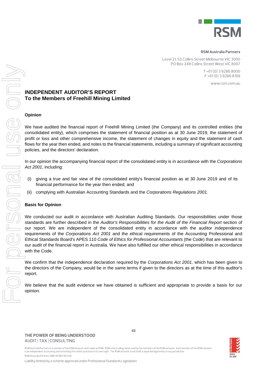

#### **RSM Australia Partners**

Level 21, 55 Collins Street Melbourne VIC 3000 PO Box 248 Collins Street West VIC 8007

> T +61 (0) 3 9286 8000 F +61 (0) 3 9286 8199

> > www.rsm.com.au

# **INDEPENDENT AUDITOR'S REPORT To the Members of Freehill Mining Limited**

#### **Opinion**

 $\begin{matrix} 1 & 0 \\ 0 & 0 \\ 0 & 0 \end{matrix}$ 

We have audited the financial report of Freehill Mining Limited (the Company) and its controlled entities (the consolidated entity), which comprises the statement of financial position as at 30 June 2019, the statement of profit or loss and other comprehensive income, the statement of changes in equity and the statement of cash flows for the year then ended, and notes to the financial statements, including a summary of significant accounting policies, and the directors' declaration.

In our opinion the accompanying financial report of the consolidated entity is in accordance with the *Corporations Act 2001*, including:

- (i) giving a true and fair view of the consolidated entity's financial position as at 30 June 2019 and of its financial performance for the year then ended; and
- (ii) complying with Australian Accounting Standards and the *Corporations Regulations 2001.*

## **Basis for Opinion**

**INDEP**<br>
To the<br>
Opinion<br>
We have<br>
consolid:<br>
profit or<br>
policies,<br>
In our op<br>
Act 2001<br>
(i) giv<br>
fina<br>
(ii) con<br>
Basis fo<br>
We cond<br>
standard<br>
our report.<br>
Ethical S<br>
we cond standard<br>
with the<br>
We confie direct<br>
requirem<br> J IBODS We conducted our audit in accordance with Australian Auditing Standards. Our responsibilities under those standards are further described in the *Auditor's Responsibilities for the Audit of the Financial Report* section of our report. We are independent of the consolidated entity in accordance with the auditor independence requirements of the *Corporations Act 2001* and the ethical requirements of the Accounting Professional and Ethical Standards Board's APES 110 *Code of Ethics for Professional Accountants* (the Code) that are relevant to our audit of the financial report in Australia. We have also fulfilled our other ethical responsibilities in accordance with the Code.

We confirm that the independence declaration required by the *Corporations Act 2001,* which has been given to the directors of the Company, would be in the same terms if given to the directors as at the time of this auditor's report.

We believe that the audit evidence we have obtained is sufficient and appropriate to provide a basis for our opinion.

**THE POWER OF BEING UNDERSTOOD** AUDIT | TAX | CONSULTING



RSM Australia Partners is a member of the RSM network and trades as RSM. RSM is the trading name used by the members of the RSM network. Each member of the RSM network is an independent accounting and consulting firm which practices in its own right. The RSM network is not itself a separate legal entity in any jurisdiction. RSM Australia Partners ABN 36 965 185 036

Liability limited by a scheme approved under Professional Standards Legislation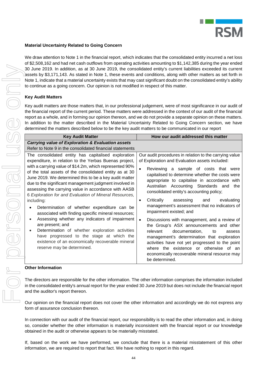

## **Material Uncertainty Related to Going Concern**

We draw attention to Note 1 in the financial report, which indicates that the consolidated entity incurred a net loss of \$2,508,162 and had net cash outflows from operating activities amounting to \$1,142,385 during the year ended 30 June 2019. In addition, as at 30 June 2019, the consolidated entity's current liabilities exceeded its current assets by \$3,171,143. As stated in Note 1, these events and conditions, along with other matters as set forth in Note 1, indicate that a material uncertainty exists that may cast significant doubt on the consolidated entity's ability to continue as a going concern. Our opinion is not modified in respect of this matter.

# **Key Audit Matters**

| <b>Key Audit Matters</b>                                                                                                                                                                                                                                                                                                                                                                                                                                                                                                                                                                                                                                                                                                                                                                                                                                                                     |                                                                                                                                                                                                                                                                                                                                                                                                                                                                                                                                                                                                                                                                                                                                                                                                                                                                                                                                                                                                                                                                                                                                                                                                                                                                                                                                                                                                                                                                                                                                                                                                                                                                                                                                                                                                                                                                                                                                                                                                                     |
|----------------------------------------------------------------------------------------------------------------------------------------------------------------------------------------------------------------------------------------------------------------------------------------------------------------------------------------------------------------------------------------------------------------------------------------------------------------------------------------------------------------------------------------------------------------------------------------------------------------------------------------------------------------------------------------------------------------------------------------------------------------------------------------------------------------------------------------------------------------------------------------------|---------------------------------------------------------------------------------------------------------------------------------------------------------------------------------------------------------------------------------------------------------------------------------------------------------------------------------------------------------------------------------------------------------------------------------------------------------------------------------------------------------------------------------------------------------------------------------------------------------------------------------------------------------------------------------------------------------------------------------------------------------------------------------------------------------------------------------------------------------------------------------------------------------------------------------------------------------------------------------------------------------------------------------------------------------------------------------------------------------------------------------------------------------------------------------------------------------------------------------------------------------------------------------------------------------------------------------------------------------------------------------------------------------------------------------------------------------------------------------------------------------------------------------------------------------------------------------------------------------------------------------------------------------------------------------------------------------------------------------------------------------------------------------------------------------------------------------------------------------------------------------------------------------------------------------------------------------------------------------------------------------------------|
| <b>Key Audit Matter</b>                                                                                                                                                                                                                                                                                                                                                                                                                                                                                                                                                                                                                                                                                                                                                                                                                                                                      | How our audit addressed this matter                                                                                                                                                                                                                                                                                                                                                                                                                                                                                                                                                                                                                                                                                                                                                                                                                                                                                                                                                                                                                                                                                                                                                                                                                                                                                                                                                                                                                                                                                                                                                                                                                                                                                                                                                                                                                                                                                                                                                                                 |
| <b>Carrying value of Exploration &amp; Evaluation assets</b>                                                                                                                                                                                                                                                                                                                                                                                                                                                                                                                                                                                                                                                                                                                                                                                                                                 |                                                                                                                                                                                                                                                                                                                                                                                                                                                                                                                                                                                                                                                                                                                                                                                                                                                                                                                                                                                                                                                                                                                                                                                                                                                                                                                                                                                                                                                                                                                                                                                                                                                                                                                                                                                                                                                                                                                                                                                                                     |
| The consolidated entity has capitalised exploration<br>expenditure, in relation to the Yerbas Buenas project,<br>with a carrying value of \$14.2m, which represented 90%<br>of the total assets of the consolidated entity as at 30<br>June 2019. We determined this to be a key audit matter<br>due to the significant management judgment involved in<br>assessing the carrying value in accordance with AASB<br>6 Exploration for and Evaluation of Mineral Resources,<br>including:<br>Determination of whether expenditure can be<br>$\bullet$<br>associated with finding specific mineral resources;<br>Assessing whether any indicators of impairment<br>$\bullet$<br>are present; and<br>Determination of whether exploration activities<br>$\bullet$<br>have progressed to the stage at which the<br>existence of an economically recoverable mineral<br>reserve may be determined. | Our audit procedures in relation to the carrying value<br>of Exploration and Evaluation assets included:<br>Reviewing a sample of costs that were<br>capitalised to determine whether the costs were<br>appropriate to capitalise in accordance with<br>Australian Accounting Standards and the<br>consolidated entity's accounting policy;<br>Critically<br>evaluating<br>assessing<br>and<br>$\bullet$<br>management's assessment that no indicators of<br>impairment existed; and<br>Discussions with management, and a review of<br>the Group's ASX announcements and other<br>documentation,<br>relevant<br>to<br>assess<br>management's determination that exploration<br>activities have not yet progressed to the point<br>where the existence or otherwise of an<br>economically recoverable mineral resource may<br>be determined.                                                                                                                                                                                                                                                                                                                                                                                                                                                                                                                                                                                                                                                                                                                                                                                                                                                                                                                                                                                                                                                                                                                                                                        |
| <b>Other Information</b>                                                                                                                                                                                                                                                                                                                                                                                                                                                                                                                                                                                                                                                                                                                                                                                                                                                                     |                                                                                                                                                                                                                                                                                                                                                                                                                                                                                                                                                                                                                                                                                                                                                                                                                                                                                                                                                                                                                                                                                                                                                                                                                                                                                                                                                                                                                                                                                                                                                                                                                                                                                                                                                                                                                                                                                                                                                                                                                     |
| and the auditor's report thereon.<br>form of assurance conclusion thereon.                                                                                                                                                                                                                                                                                                                                                                                                                                                                                                                                                                                                                                                                                                                                                                                                                   |                                                                                                                                                                                                                                                                                                                                                                                                                                                                                                                                                                                                                                                                                                                                                                                                                                                                                                                                                                                                                                                                                                                                                                                                                                                                                                                                                                                                                                                                                                                                                                                                                                                                                                                                                                                                                                                                                                                                                                                                                     |
|                                                                                                                                                                                                                                                                                                                                                                                                                                                                                                                                                                                                                                                                                                                                                                                                                                                                                              | 30 June 2019. In addition, as at 30 June 2019, the consolidated entity's current liabilities exceeded its current<br>assets by \$3,171,143. As stated in Note 1, these events and conditions, along with other matters as set forth in<br>Note 1, indicate that a material uncertainty exists that may cast significant doubt on the consolidated entity's ability<br>to continue as a going concern. Our opinion is not modified in respect of this matter.<br>Key audit matters are those matters that, in our professional judgement, were of most significance in our audit of<br>the financial report of the current period. These matters were addressed in the context of our audit of the financial<br>report as a whole, and in forming our opinion thereon, and we do not provide a separate opinion on these matters.<br>In addition to the matter described in the Material Uncertainty Related to Going Concern section, we have<br>determined the matters described below to be the key audit matters to be communicated in our report<br>Refer to Note 9 in the consolidated financial statements<br>The directors are responsible for the other information. The other information comprises the information included<br>in the consolidated entity's annual report for the year ended 30 June 2019 but does not include the financial report<br>Our opinion on the financial report does not cover the other information and accordingly we do not express any<br>In connection with our audit of the financial report, our responsibility is to read the other information and, in doing<br>so, consider whether the other information is materially inconsistent with the financial report or our knowledge<br>obtained in the audit or otherwise appears to be materially misstated.<br>If, based on the work we have performed, we conclude that there is a material misstatement of this other<br>information, we are required to report that fact. We have nothing to report in this regard. |

#### **Other Information**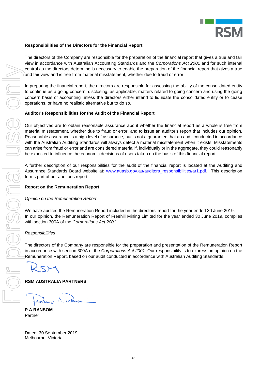

## **Responsibilities of the Directors for the Financial Report**

The directors of the Company are responsible for the preparation of the financial report that gives a true and fair view in accordance with Australian Accounting Standards and the *Corporations Act 2001* and for such internal control as the directors determine is necessary to enable the preparation of the financial report that gives a true and fair view and is free from material misstatement, whether due to fraud or error.

In preparing the financial report, the directors are responsible for assessing the ability of the consolidated entity to continue as a going concern, disclosing, as applicable, matters related to going concern and using the going concern basis of accounting unless the directors either intend to liquidate the consolidated entity or to cease operations, or have no realistic alternative but to do so.

## **Auditor's Responsibilities for the Audit of the Financial Report**

Our objectives are to obtain reasonable assurance about whether the financial report as a whole is free from material misstatement, whether due to fraud or error, and to issue an auditor's report that includes our opinion. Reasonable assurance is a high level of assurance, but is not a guarantee that an audit conducted in accordance with the Australian Auditing Standards will always detect a material misstatement when it exists. Misstatements can arise from fraud or error and are considered material if, individually or in the aggregate, they could reasonably be expected to influence the economic decisions of users taken on the basis of this financial report.

A further description of our responsibilities for the audit of the financial report is located at the Auditing and Assurance Standards Board website at: www.auasb.gov.au/auditors\_responsibilities/ar1.pdf. This description forms part of our auditor's report.

## **Report on the Remuneration Report**

## *Opinion on the Remuneration Report*

We have audited the Remuneration Report included in the directors' report for the year ended 30 June 2019. In our opinion, the Remuneration Report of Freehill Mining Limited for the year ended 30 June 2019, complies with section 300A of the *Corporations Act 2001.*

## *Responsibilities*

The directors of the Company are responsible for the preparation and presentation of the Remuneration Report in accordance with section 300A of the *Corporations Act 2001.* Our responsibility is to express an opinion on the Remuneration Report, based on our audit conducted in accordance with Australian Auditing Standards.

**RSM AUSTRALIA PARTNERS** 

**P A RANSOM**  Partner

Dated: 30 September 2019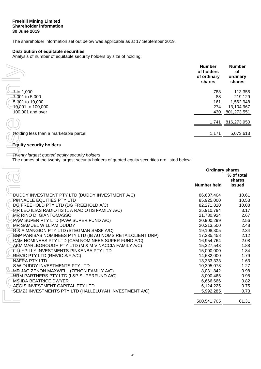#### **Freehill Mining Limited Shareholder information 30 June 2019**

The shareholder information set out below was applicable as at 17 September 2019.

## **Distribution of equitable securities**

Analysis of number of equitable security holders by size of holding:

|                                       | <b>Number</b><br>of holders<br>of ordinary<br>shares | <b>Number</b><br><b>of</b><br>ordinary<br>shares |
|---------------------------------------|------------------------------------------------------|--------------------------------------------------|
| $1$ to $1,000$                        | 788                                                  | 113,355                                          |
| 4,001 to 5,000                        | 88                                                   | 219,129                                          |
| 5,001 to 10,000                       | 161                                                  | 1,562,948                                        |
| <del>1</del> 0,001 to 100,000         | 274                                                  | 13,104,967                                       |
| 100,001 and over                      | 430                                                  | 801,273,551                                      |
|                                       |                                                      |                                                  |
|                                       | 1,741                                                | 816,273,950                                      |
|                                       |                                                      |                                                  |
| Holding less than a marketable parcel | 1,171                                                | 5,073,613                                        |
|                                       |                                                      |                                                  |

# **Equity security holders**

|                                                                                                                                                 | <b>Number</b><br>of holders<br>of ordinary<br>shares | <b>Number</b><br>of<br>ordinary<br>shares |
|-------------------------------------------------------------------------------------------------------------------------------------------------|------------------------------------------------------|-------------------------------------------|
| $1$ to $1,000$                                                                                                                                  | 788                                                  | 113,355                                   |
| 4,001 to 5,000                                                                                                                                  | 88                                                   | 219,129                                   |
| 5,001 to 10,000                                                                                                                                 | 161                                                  | 1,562,948                                 |
| 40,001 to 100,000                                                                                                                               | 274                                                  | 13,104,967                                |
| 100,001 and over                                                                                                                                | 430                                                  | 801,273,551                               |
|                                                                                                                                                 | 1,741                                                | 816,273,950                               |
|                                                                                                                                                 |                                                      |                                           |
| Holding less than a marketable parcel                                                                                                           | 1,171                                                | 5,073,613                                 |
| <b>Equity security holders</b>                                                                                                                  |                                                      |                                           |
| Twenty largest quoted equity security holders<br>The names of the twenty largest security holders of quoted equity securities are listed below: |                                                      |                                           |
|                                                                                                                                                 | <b>Ordinary shares</b>                               |                                           |
|                                                                                                                                                 |                                                      | % of total                                |
|                                                                                                                                                 |                                                      | shares                                    |
|                                                                                                                                                 | <b>Number held</b>                                   | issued                                    |
| DUDDY INVESTMENT PTY LTD (DUDDY INVESTMENT A/C)                                                                                                 | 86,637,404                                           | 10.61                                     |
| PINNACLE EQUITIES PTY LTD                                                                                                                       | 85,925,000                                           | 10.53                                     |
| DG FREEHOLD PTY LTD (DG FREEHOLD A/C)                                                                                                           | 82,271,820                                           | 10.08                                     |
| MR LEO ILIAS RADIOTIS (L A RADIOTIS FAMILY A/C)                                                                                                 | 25,910,794                                           | 3.17                                      |
| MR RINO DI GIANTOMASSO                                                                                                                          | 21,780,924                                           | 2.67                                      |
| PAW SUPER PTY LTD (PAW SUPER FUND A/C)                                                                                                          | 20,900,299                                           | 2.56                                      |
| MR SAMUEL WILLIAM DUDDY                                                                                                                         | 20,213,500                                           | 2.48                                      |
| R& A MANGION PTY LTD (STEGMAN SMSF A/C)                                                                                                         | 19,108,305                                           | 2.34                                      |
| BNP PARIBAS NOMINEES PTY LTD (IB AU NOMS RETAILCLIENT DRP)                                                                                      | 17,335,458                                           | 2.12                                      |
| CAM NOMINEES PTY LTD (CAM NOMINEES SUPER FUND A/C)                                                                                              | 16,954,764                                           | 2.08                                      |
| AKM MARLBOROUGH PTY LTD (M & M VINACCIA FAMILY A/C)                                                                                             | 15,327,543                                           | 1.88                                      |
| <b>LILLYPILLY INVESTMENTS-PINKENBA PTY LTD</b>                                                                                                  | 15,000,000                                           | 1.84                                      |
| RMUC PTY LTD (RMVIC S/F A/C)                                                                                                                    | 14,632,000                                           | 1.79                                      |
| NAFRA PTY LTD                                                                                                                                   | 13,333,333                                           | 1.63                                      |
| SW DUDDY INVESTMENTS PTY LTD                                                                                                                    | 10,395,078                                           | 1.27                                      |
| MR JAG ZENON MAXWELL (ZENON FAMILY A/C)                                                                                                         | 8,031,842                                            | 0.98                                      |
| HRM PARTNERS PTY LTD (L&P SUPERFUND A/C)                                                                                                        | 8,000,465                                            | 0.98                                      |
| <b>MS IDA BEATRICE DWYER</b>                                                                                                                    | 6,666,666                                            | 0.82                                      |
| AEGIS INVESTMENT CAPITAL PTY LTD                                                                                                                | 6,124,225                                            | 0.75                                      |
| SEMZJ INVESTMENTS PTY LTD (HALLELUYAH INVESTMENT A/C)                                                                                           | 5,992,285                                            | 0.73                                      |
|                                                                                                                                                 | 500,541,705                                          | 61.31                                     |
|                                                                                                                                                 |                                                      |                                           |